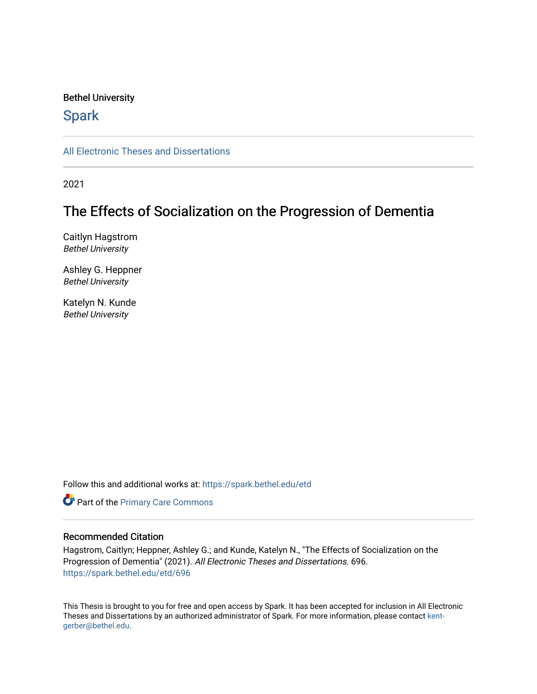# Bethel University

# **Spark**

[All Electronic Theses and Dissertations](https://spark.bethel.edu/etd) 

2021

# The Effects of Socialization on the Progression of Dementia

Caitlyn Hagstrom Bethel University

Ashley G. Heppner Bethel University

Katelyn N. Kunde Bethel University

Follow this and additional works at: [https://spark.bethel.edu/etd](https://spark.bethel.edu/etd?utm_source=spark.bethel.edu%2Fetd%2F696&utm_medium=PDF&utm_campaign=PDFCoverPages)

Part of the [Primary Care Commons](http://network.bepress.com/hgg/discipline/1092?utm_source=spark.bethel.edu%2Fetd%2F696&utm_medium=PDF&utm_campaign=PDFCoverPages)

# Recommended Citation

Hagstrom, Caitlyn; Heppner, Ashley G.; and Kunde, Katelyn N., "The Effects of Socialization on the Progression of Dementia" (2021). All Electronic Theses and Dissertations. 696. [https://spark.bethel.edu/etd/696](https://spark.bethel.edu/etd/696?utm_source=spark.bethel.edu%2Fetd%2F696&utm_medium=PDF&utm_campaign=PDFCoverPages)

This Thesis is brought to you for free and open access by Spark. It has been accepted for inclusion in All Electronic Theses and Dissertations by an authorized administrator of Spark. For more information, please contact [kent](mailto:kent-gerber@bethel.edu)[gerber@bethel.edu.](mailto:kent-gerber@bethel.edu)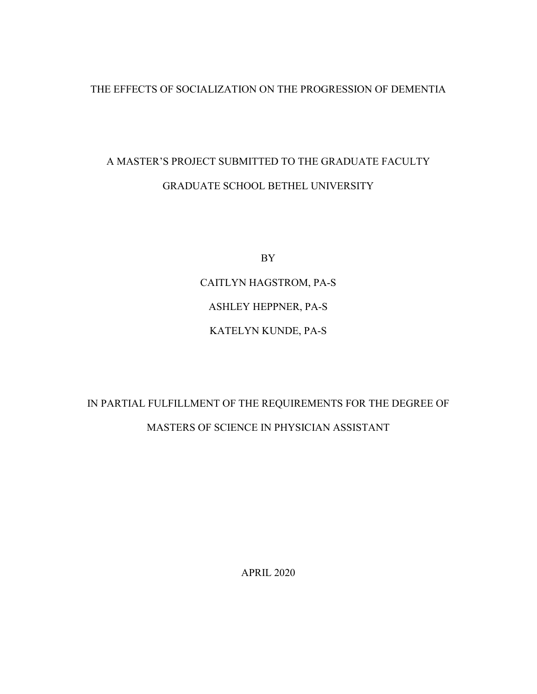# THE EFFECTS OF SOCIALIZATION ON THE PROGRESSION OF DEMENTIA

# A MASTER'S PROJECT SUBMITTED TO THE GRADUATE FACULTY GRADUATE SCHOOL BETHEL UNIVERSITY

BY

CAITLYN HAGSTROM, PA-S ASHLEY HEPPNER, PA-S KATELYN KUNDE, PA-S

# IN PARTIAL FULFILLMENT OF THE REQUIREMENTS FOR THE DEGREE OF MASTERS OF SCIENCE IN PHYSICIAN ASSISTANT

APRIL 2020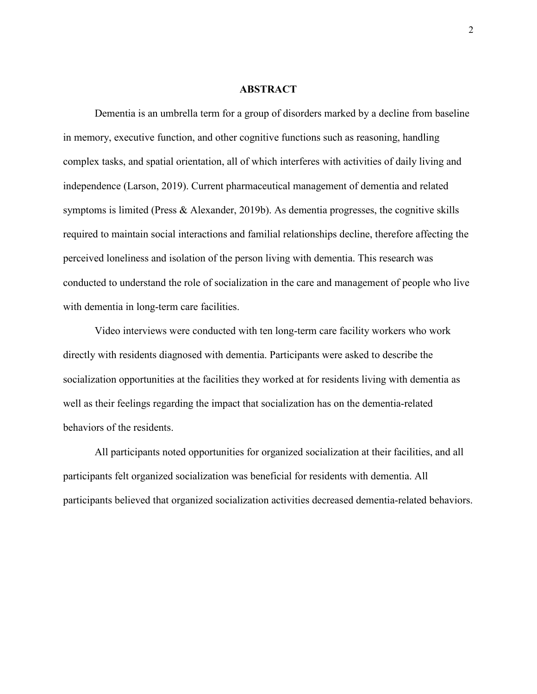#### **ABSTRACT**

Dementia is an umbrella term for a group of disorders marked by a decline from baseline in memory, executive function, and other cognitive functions such as reasoning, handling complex tasks, and spatial orientation, all of which interferes with activities of daily living and independence (Larson, 2019). Current pharmaceutical management of dementia and related symptoms is limited (Press & Alexander, 2019b). As dementia progresses, the cognitive skills required to maintain social interactions and familial relationships decline, therefore affecting the perceived loneliness and isolation of the person living with dementia. This research was conducted to understand the role of socialization in the care and management of people who live with dementia in long-term care facilities.

Video interviews were conducted with ten long-term care facility workers who work directly with residents diagnosed with dementia. Participants were asked to describe the socialization opportunities at the facilities they worked at for residents living with dementia as well as their feelings regarding the impact that socialization has on the dementia-related behaviors of the residents.

All participants noted opportunities for organized socialization at their facilities, and all participants felt organized socialization was beneficial for residents with dementia. All participants believed that organized socialization activities decreased dementia-related behaviors.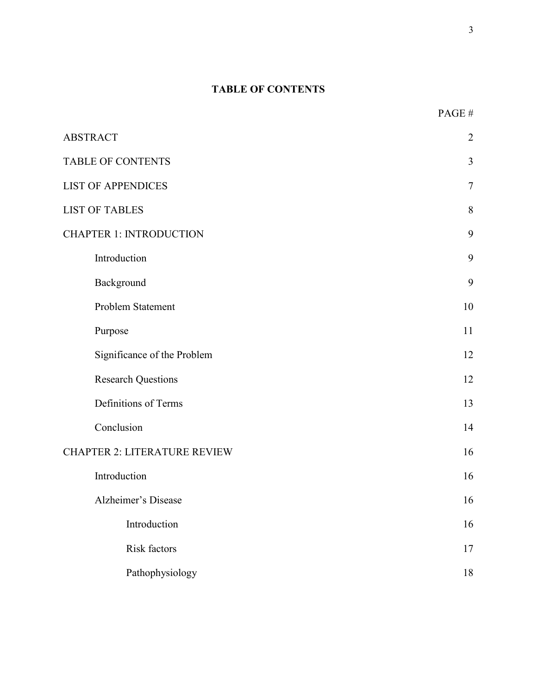# **TABLE OF CONTENTS**

PAGE #

3

| <b>ABSTRACT</b>                     | $\overline{2}$ |
|-------------------------------------|----------------|
| <b>TABLE OF CONTENTS</b>            | 3              |
| <b>LIST OF APPENDICES</b>           | $\tau$         |
| <b>LIST OF TABLES</b>               | 8              |
| <b>CHAPTER 1: INTRODUCTION</b>      |                |
| Introduction                        | 9              |
| Background                          | 9              |
| Problem Statement                   | 10             |
| Purpose                             | 11             |
| Significance of the Problem         | 12             |
| <b>Research Questions</b>           | 12             |
| Definitions of Terms                | 13             |
| Conclusion                          | 14             |
| <b>CHAPTER 2: LITERATURE REVIEW</b> |                |
| Introduction                        | 16             |
| <b>Alzheimer's Disease</b>          | 16             |
| Introduction                        | 16             |
| Risk factors                        | 17             |
| Pathophysiology                     | 18             |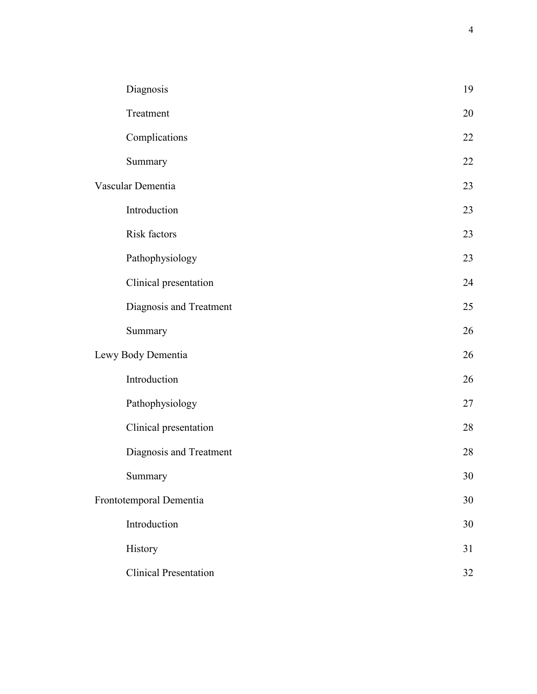|                    | Diagnosis                    | 19 |
|--------------------|------------------------------|----|
|                    | Treatment                    | 20 |
|                    | Complications                | 22 |
|                    | Summary                      | 22 |
|                    | Vascular Dementia            | 23 |
|                    | Introduction                 | 23 |
|                    | Risk factors                 | 23 |
|                    | Pathophysiology              | 23 |
|                    | Clinical presentation        | 24 |
|                    | Diagnosis and Treatment      | 25 |
|                    | Summary                      | 26 |
| Lewy Body Dementia |                              | 26 |
|                    | Introduction                 | 26 |
|                    | Pathophysiology              | 27 |
|                    | Clinical presentation        | 28 |
|                    | Diagnosis and Treatment      | 28 |
|                    | Summary                      | 30 |
|                    | Frontotemporal Dementia      | 30 |
|                    | Introduction                 | 30 |
|                    | History                      | 31 |
|                    | <b>Clinical Presentation</b> | 32 |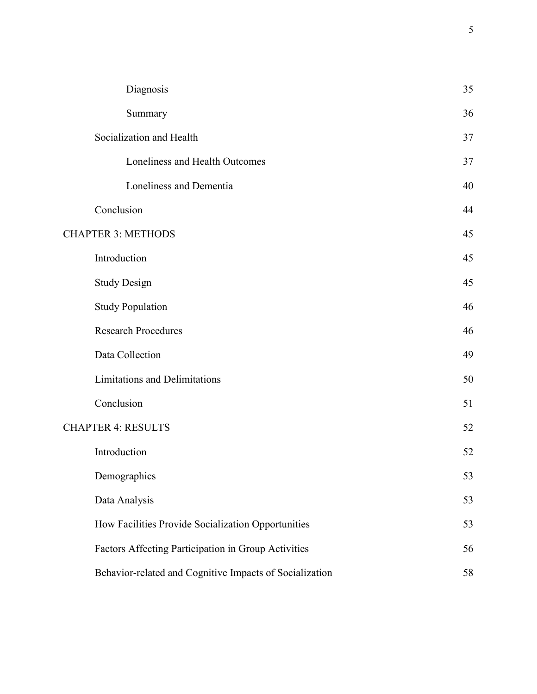|                           | Diagnosis                                               | 35 |
|---------------------------|---------------------------------------------------------|----|
|                           | Summary                                                 | 36 |
|                           | Socialization and Health                                | 37 |
|                           | Loneliness and Health Outcomes                          | 37 |
|                           | Loneliness and Dementia                                 | 40 |
|                           | Conclusion                                              | 44 |
|                           | <b>CHAPTER 3: METHODS</b>                               | 45 |
|                           | Introduction                                            | 45 |
|                           | <b>Study Design</b>                                     | 45 |
|                           | <b>Study Population</b>                                 | 46 |
|                           | <b>Research Procedures</b>                              | 46 |
|                           | Data Collection                                         | 49 |
|                           | <b>Limitations and Delimitations</b>                    | 50 |
|                           | Conclusion                                              | 51 |
| <b>CHAPTER 4: RESULTS</b> |                                                         | 52 |
|                           | Introduction                                            | 52 |
|                           | Demographics                                            | 53 |
|                           | Data Analysis                                           | 53 |
|                           | How Facilities Provide Socialization Opportunities      | 53 |
|                           | Factors Affecting Participation in Group Activities     | 56 |
|                           | Behavior-related and Cognitive Impacts of Socialization | 58 |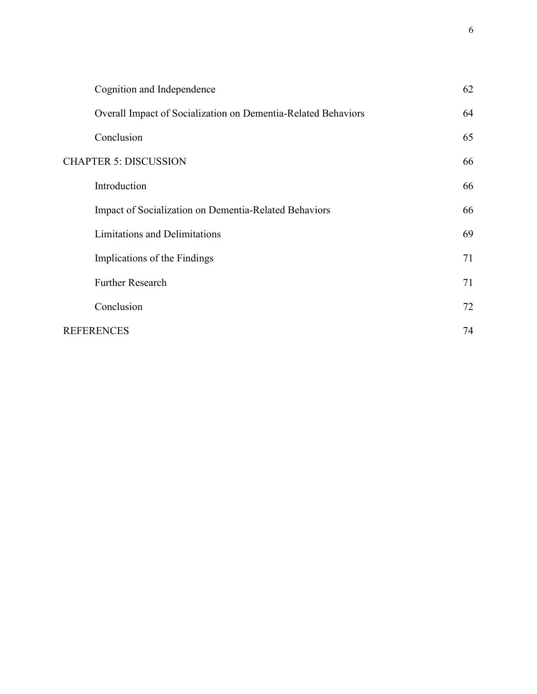| Cognition and Independence                                    | 62 |
|---------------------------------------------------------------|----|
| Overall Impact of Socialization on Dementia-Related Behaviors | 64 |
| Conclusion                                                    | 65 |
| <b>CHAPTER 5: DISCUSSION</b>                                  | 66 |
| Introduction                                                  | 66 |
| Impact of Socialization on Dementia-Related Behaviors         | 66 |
| <b>Limitations and Delimitations</b>                          | 69 |
| Implications of the Findings                                  | 71 |
| <b>Further Research</b>                                       | 71 |
| Conclusion                                                    | 72 |
| <b>REFERENCES</b>                                             | 74 |
|                                                               |    |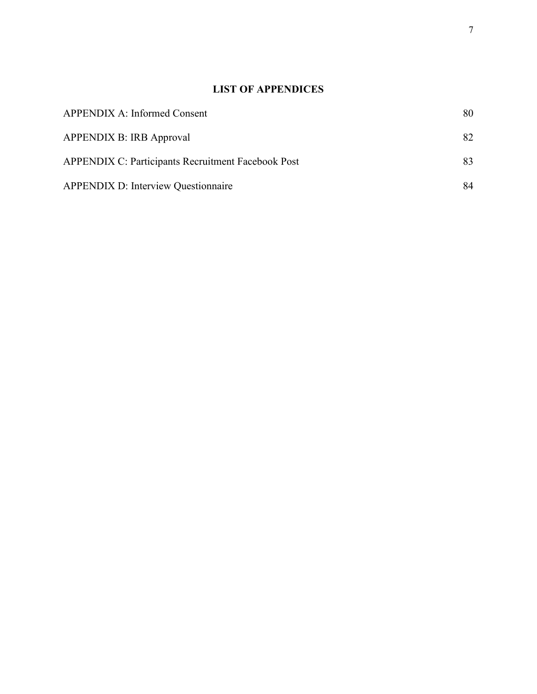# **LIST OF APPENDICES**

| <b>APPENDIX A: Informed Consent</b>                       | 80 |
|-----------------------------------------------------------|----|
| <b>APPENDIX B: IRB Approval</b>                           | 82 |
| <b>APPENDIX C: Participants Recruitment Facebook Post</b> | 83 |
| <b>APPENDIX D: Interview Questionnaire</b>                | 84 |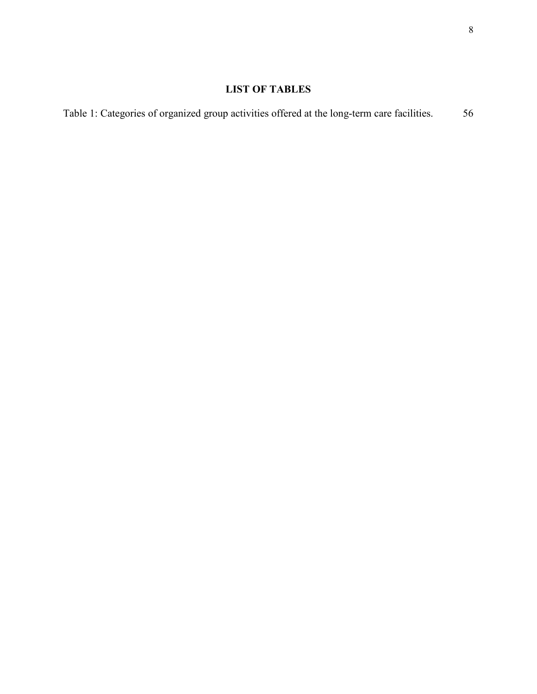# **LIST OF TABLES**

Table 1: Categories of organized group activities offered at the long-term care facilities. 56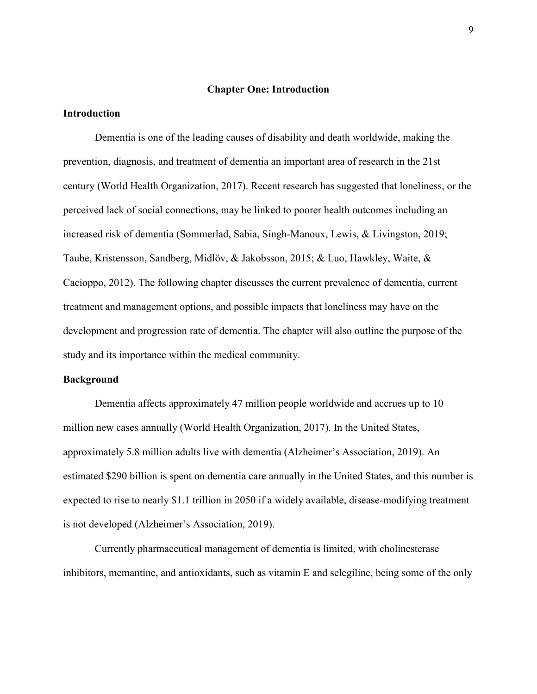#### **Chapter One: Introduction**

#### **Introduction**

Dementia is one of the leading causes of disability and death worldwide, making the prevention, diagnosis, and treatment of dementia an important area of research in the 21st century (World Health Organization, 2017). Recent research has suggested that loneliness, or the perceived lack of social connections, may be linked to poorer health outcomes including an increased risk of dementia (Sommerlad, Sabia, Singh-Manoux, Lewis, & Livingston, 2019; Taube, Kristensson, Sandberg, Midlöv, & Jakobsson, 2015; & Luo, Hawkley, Waite, & Cacioppo, 2012). The following chapter discusses the current prevalence of dementia, current treatment and management options, and possible impacts that loneliness may have on the development and progression rate of dementia. The chapter will also outline the purpose of the study and its importance within the medical community.

#### **Background**

Dementia affects approximately 47 million people worldwide and accrues up to 10 million new cases annually (World Health Organization, 2017). In the United States, approximately 5.8 million adults live with dementia (Alzheimer's Association, 2019). An estimated \$290 billion is spent on dementia care annually in the United States, and this number is expected to rise to nearly \$1.1 trillion in 2050 if a widely available, disease-modifying treatment is not developed (Alzheimer's Association, 2019).

Currently pharmaceutical management of dementia is limited, with cholinesterase inhibitors, memantine, and antioxidants, such as vitamin E and selegiline, being some of the only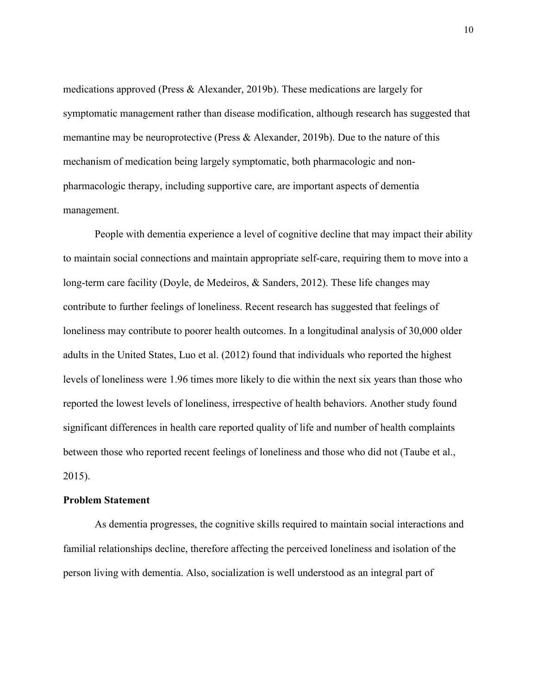medications approved (Press & Alexander, 2019b). These medications are largely for symptomatic management rather than disease modification, although research has suggested that memantine may be neuroprotective (Press & Alexander, 2019b). Due to the nature of this mechanism of medication being largely symptomatic, both pharmacologic and nonpharmacologic therapy, including supportive care, are important aspects of dementia management.

People with dementia experience a level of cognitive decline that may impact their ability to maintain social connections and maintain appropriate self-care, requiring them to move into a long-term care facility (Doyle, de Medeiros, & Sanders, 2012). These life changes may contribute to further feelings of loneliness. Recent research has suggested that feelings of loneliness may contribute to poorer health outcomes. In a longitudinal analysis of 30,000 older adults in the United States, Luo et al. (2012) found that individuals who reported the highest levels of loneliness were 1.96 times more likely to die within the next six years than those who reported the lowest levels of loneliness, irrespective of health behaviors. Another study found significant differences in health care reported quality of life and number of health complaints between those who reported recent feelings of loneliness and those who did not (Taube et al., 2015).

#### **Problem Statement**

As dementia progresses, the cognitive skills required to maintain social interactions and familial relationships decline, therefore affecting the perceived loneliness and isolation of the person living with dementia. Also, socialization is well understood as an integral part of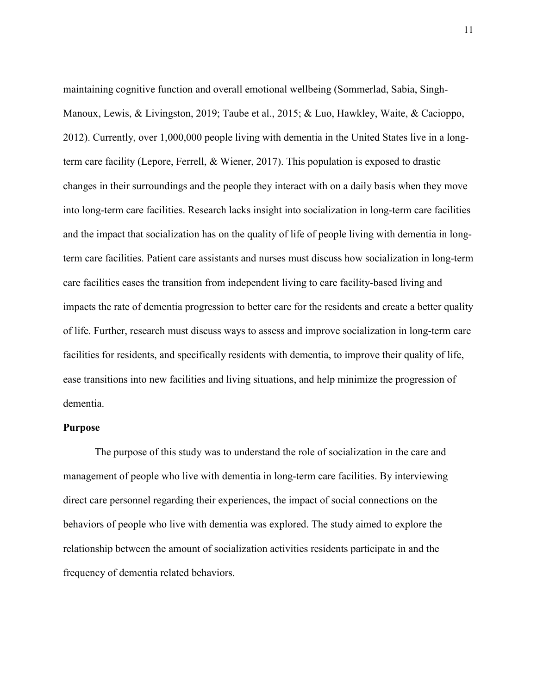maintaining cognitive function and overall emotional wellbeing (Sommerlad, Sabia, Singh-Manoux, Lewis, & Livingston, 2019; Taube et al., 2015; & Luo, Hawkley, Waite, & Cacioppo, 2012). Currently, over 1,000,000 people living with dementia in the United States live in a longterm care facility (Lepore, Ferrell, & Wiener, 2017). This population is exposed to drastic changes in their surroundings and the people they interact with on a daily basis when they move into long-term care facilities. Research lacks insight into socialization in long-term care facilities and the impact that socialization has on the quality of life of people living with dementia in longterm care facilities. Patient care assistants and nurses must discuss how socialization in long-term care facilities eases the transition from independent living to care facility-based living and impacts the rate of dementia progression to better care for the residents and create a better quality of life. Further, research must discuss ways to assess and improve socialization in long-term care facilities for residents, and specifically residents with dementia, to improve their quality of life, ease transitions into new facilities and living situations, and help minimize the progression of dementia.

#### **Purpose**

The purpose of this study was to understand the role of socialization in the care and management of people who live with dementia in long-term care facilities. By interviewing direct care personnel regarding their experiences, the impact of social connections on the behaviors of people who live with dementia was explored. The study aimed to explore the relationship between the amount of socialization activities residents participate in and the frequency of dementia related behaviors.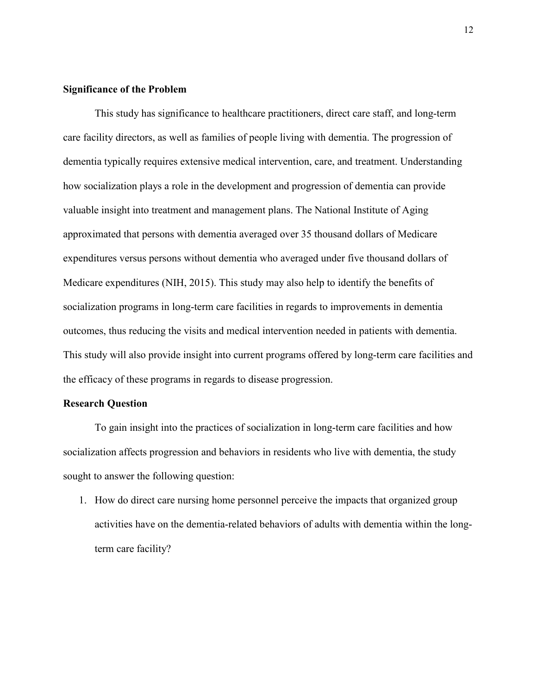## **Significance of the Problem**

This study has significance to healthcare practitioners, direct care staff, and long-term care facility directors, as well as families of people living with dementia. The progression of dementia typically requires extensive medical intervention, care, and treatment. Understanding how socialization plays a role in the development and progression of dementia can provide valuable insight into treatment and management plans. The National Institute of Aging approximated that persons with dementia averaged over 35 thousand dollars of Medicare expenditures versus persons without dementia who averaged under five thousand dollars of Medicare expenditures (NIH, 2015). This study may also help to identify the benefits of socialization programs in long-term care facilities in regards to improvements in dementia outcomes, thus reducing the visits and medical intervention needed in patients with dementia. This study will also provide insight into current programs offered by long-term care facilities and the efficacy of these programs in regards to disease progression.

## **Research Question**

To gain insight into the practices of socialization in long-term care facilities and how socialization affects progression and behaviors in residents who live with dementia, the study sought to answer the following question:

1. How do direct care nursing home personnel perceive the impacts that organized group activities have on the dementia-related behaviors of adults with dementia within the longterm care facility?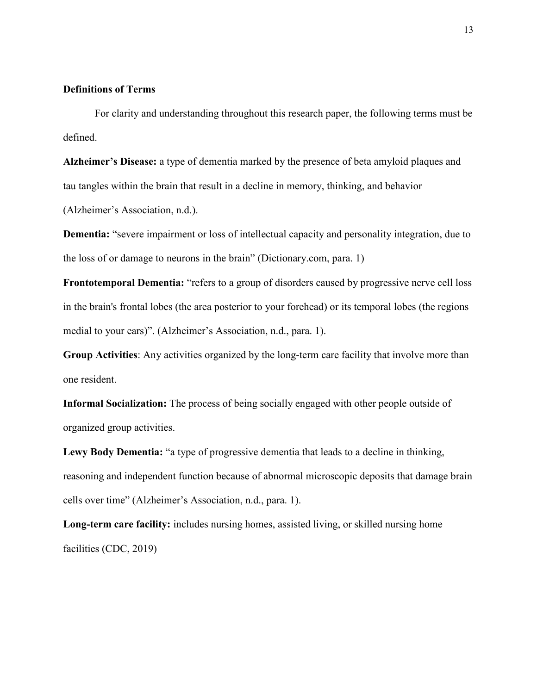# **Definitions of Terms**

For clarity and understanding throughout this research paper, the following terms must be defined.

**Alzheimer's Disease:** a type of dementia marked by the presence of beta amyloid plaques and tau tangles within the brain that result in a decline in memory, thinking, and behavior

(Alzheimer's Association, n.d.).

**Dementia:** "severe impairment or loss of intellectual capacity and personality integration, due to the loss of or damage to neurons in the brain" (Dictionary.com, para. 1)

**Frontotemporal Dementia:** "refers to a group of disorders caused by progressive nerve cell loss in the brain's frontal lobes (the area posterior to your forehead) or its temporal lobes (the regions medial to your ears)". (Alzheimer's Association, n.d., para. 1).

**Group Activities**: Any activities organized by the long-term care facility that involve more than one resident.

**Informal Socialization:** The process of being socially engaged with other people outside of organized group activities.

**Lewy Body Dementia:** "a type of progressive dementia that leads to a decline in thinking, reasoning and independent function because of abnormal microscopic deposits that damage brain cells over time" (Alzheimer's Association, n.d., para. 1).

**Long-term care facility:** includes nursing homes, assisted living, or skilled nursing home facilities (CDC, 2019)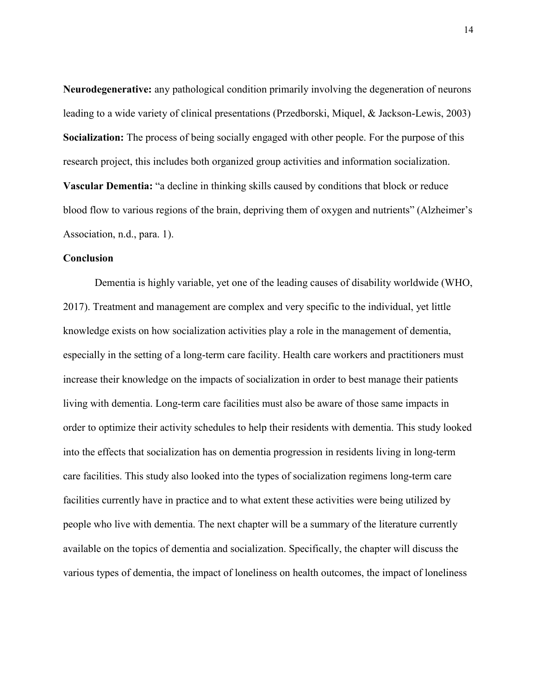**Neurodegenerative:** any pathological condition primarily involving the degeneration of neurons leading to a wide variety of clinical presentations (Przedborski, Miquel, & Jackson-Lewis, 2003) **Socialization:** The process of being socially engaged with other people. For the purpose of this research project, this includes both organized group activities and information socialization. **Vascular Dementia:** "a decline in thinking skills caused by conditions that block or reduce blood flow to various regions of the brain, depriving them of oxygen and nutrients" (Alzheimer's Association, n.d., para. 1).

#### **Conclusion**

Dementia is highly variable, yet one of the leading causes of disability worldwide (WHO, 2017). Treatment and management are complex and very specific to the individual, yet little knowledge exists on how socialization activities play a role in the management of dementia, especially in the setting of a long-term care facility. Health care workers and practitioners must increase their knowledge on the impacts of socialization in order to best manage their patients living with dementia. Long-term care facilities must also be aware of those same impacts in order to optimize their activity schedules to help their residents with dementia. This study looked into the effects that socialization has on dementia progression in residents living in long-term care facilities. This study also looked into the types of socialization regimens long-term care facilities currently have in practice and to what extent these activities were being utilized by people who live with dementia. The next chapter will be a summary of the literature currently available on the topics of dementia and socialization. Specifically, the chapter will discuss the various types of dementia, the impact of loneliness on health outcomes, the impact of loneliness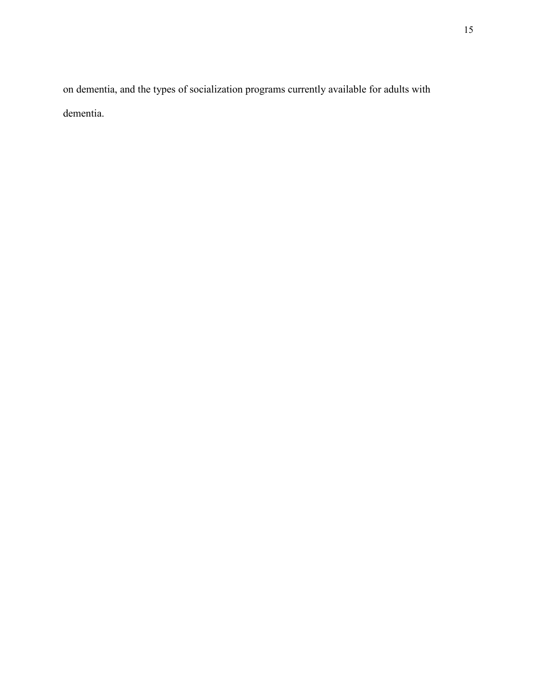on dementia, and the types of socialization programs currently available for adults with dementia.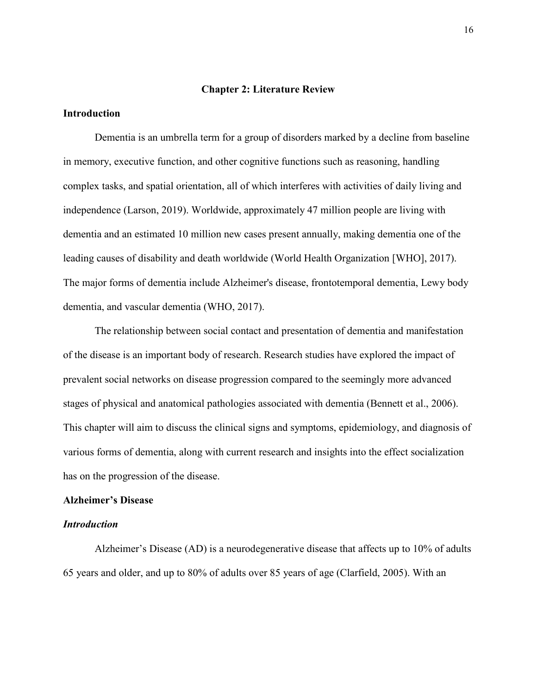#### **Chapter 2: Literature Review**

#### **Introduction**

Dementia is an umbrella term for a group of disorders marked by a decline from baseline in memory, executive function, and other cognitive functions such as reasoning, handling complex tasks, and spatial orientation, all of which interferes with activities of daily living and independence (Larson, 2019). Worldwide, approximately 47 million people are living with dementia and an estimated 10 million new cases present annually, making dementia one of the leading causes of disability and death worldwide (World Health Organization [WHO], 2017). The major forms of dementia include Alzheimer's disease, frontotemporal dementia, Lewy body dementia, and vascular dementia (WHO, 2017).

The relationship between social contact and presentation of dementia and manifestation of the disease is an important body of research. Research studies have explored the impact of prevalent social networks on disease progression compared to the seemingly more advanced stages of physical and anatomical pathologies associated with dementia (Bennett et al., 2006). This chapter will aim to discuss the clinical signs and symptoms, epidemiology, and diagnosis of various forms of dementia, along with current research and insights into the effect socialization has on the progression of the disease.

#### **Alzheimer's Disease**

#### *Introduction*

Alzheimer's Disease (AD) is a neurodegenerative disease that affects up to 10% of adults 65 years and older, and up to 80% of adults over 85 years of age (Clarfield, 2005). With an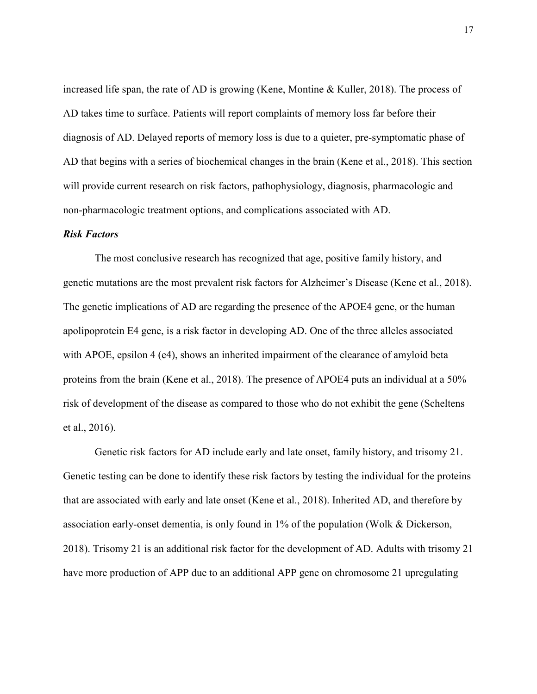increased life span, the rate of AD is growing (Kene, Montine & Kuller, 2018). The process of AD takes time to surface. Patients will report complaints of memory loss far before their diagnosis of AD. Delayed reports of memory loss is due to a quieter, pre-symptomatic phase of AD that begins with a series of biochemical changes in the brain (Kene et al., 2018). This section will provide current research on risk factors, pathophysiology, diagnosis, pharmacologic and non-pharmacologic treatment options, and complications associated with AD.

#### *Risk Factors*

The most conclusive research has recognized that age, positive family history, and genetic mutations are the most prevalent risk factors for Alzheimer's Disease (Kene et al., 2018). The genetic implications of AD are regarding the presence of the APOE4 gene, or the human apolipoprotein E4 gene, is a risk factor in developing AD. One of the three alleles associated with APOE, epsilon 4 (e4), shows an inherited impairment of the clearance of amyloid beta proteins from the brain (Kene et al., 2018). The presence of APOE4 puts an individual at a 50% risk of development of the disease as compared to those who do not exhibit the gene (Scheltens et al., 2016).

Genetic risk factors for AD include early and late onset, family history, and trisomy 21. Genetic testing can be done to identify these risk factors by testing the individual for the proteins that are associated with early and late onset (Kene et al., 2018). Inherited AD, and therefore by association early-onset dementia, is only found in 1% of the population (Wolk & Dickerson, 2018). Trisomy 21 is an additional risk factor for the development of AD. Adults with trisomy 21 have more production of APP due to an additional APP gene on chromosome 21 upregulating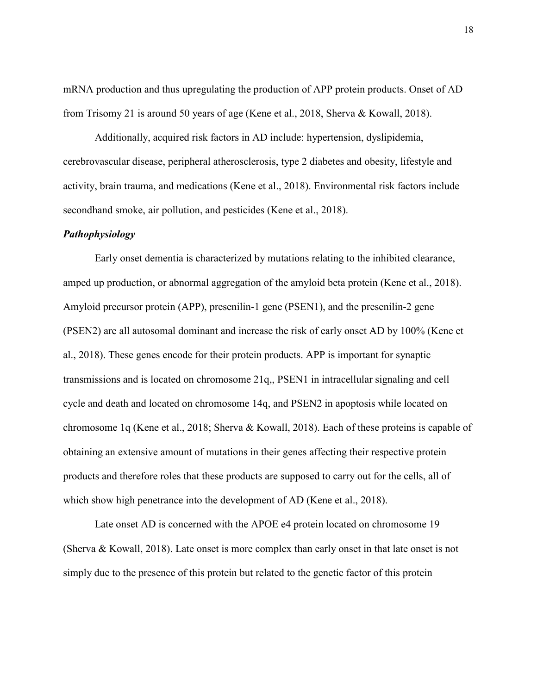mRNA production and thus upregulating the production of APP protein products. Onset of AD from Trisomy 21 is around 50 years of age (Kene et al., 2018, Sherva & Kowall, 2018).

Additionally, acquired risk factors in AD include: hypertension, dyslipidemia, cerebrovascular disease, peripheral atherosclerosis, type 2 diabetes and obesity, lifestyle and activity, brain trauma, and medications (Kene et al., 2018). Environmental risk factors include secondhand smoke, air pollution, and pesticides (Kene et al., 2018).

#### *Pathophysiology*

Early onset dementia is characterized by mutations relating to the inhibited clearance, amped up production, or abnormal aggregation of the amyloid beta protein (Kene et al., 2018). Amyloid precursor protein (APP), presenilin-1 gene (PSEN1), and the presenilin-2 gene (PSEN2) are all autosomal dominant and increase the risk of early onset AD by 100% (Kene et al., 2018). These genes encode for their protein products. APP is important for synaptic transmissions and is located on chromosome 21q,, PSEN1 in intracellular signaling and cell cycle and death and located on chromosome 14q, and PSEN2 in apoptosis while located on chromosome 1q (Kene et al., 2018; Sherva & Kowall, 2018). Each of these proteins is capable of obtaining an extensive amount of mutations in their genes affecting their respective protein products and therefore roles that these products are supposed to carry out for the cells, all of which show high penetrance into the development of AD (Kene et al., 2018).

Late onset AD is concerned with the APOE e4 protein located on chromosome 19 (Sherva & Kowall, 2018). Late onset is more complex than early onset in that late onset is not simply due to the presence of this protein but related to the genetic factor of this protein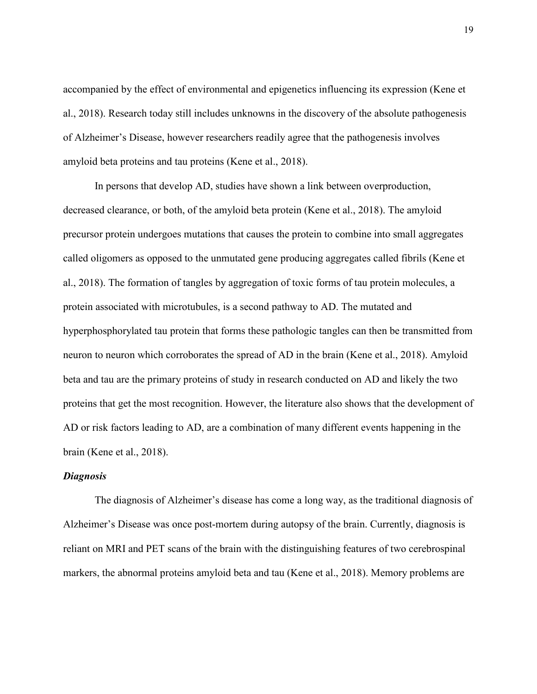accompanied by the effect of environmental and epigenetics influencing its expression (Kene et al., 2018). Research today still includes unknowns in the discovery of the absolute pathogenesis of Alzheimer's Disease, however researchers readily agree that the pathogenesis involves amyloid beta proteins and tau proteins (Kene et al., 2018).

In persons that develop AD, studies have shown a link between overproduction, decreased clearance, or both, of the amyloid beta protein (Kene et al., 2018). The amyloid precursor protein undergoes mutations that causes the protein to combine into small aggregates called oligomers as opposed to the unmutated gene producing aggregates called fibrils (Kene et al., 2018). The formation of tangles by aggregation of toxic forms of tau protein molecules, a protein associated with microtubules, is a second pathway to AD. The mutated and hyperphosphorylated tau protein that forms these pathologic tangles can then be transmitted from neuron to neuron which corroborates the spread of AD in the brain (Kene et al., 2018). Amyloid beta and tau are the primary proteins of study in research conducted on AD and likely the two proteins that get the most recognition. However, the literature also shows that the development of AD or risk factors leading to AD, are a combination of many different events happening in the brain (Kene et al., 2018).

## *Diagnosis*

The diagnosis of Alzheimer's disease has come a long way, as the traditional diagnosis of Alzheimer's Disease was once post-mortem during autopsy of the brain. Currently, diagnosis is reliant on MRI and PET scans of the brain with the distinguishing features of two cerebrospinal markers, the abnormal proteins amyloid beta and tau (Kene et al., 2018). Memory problems are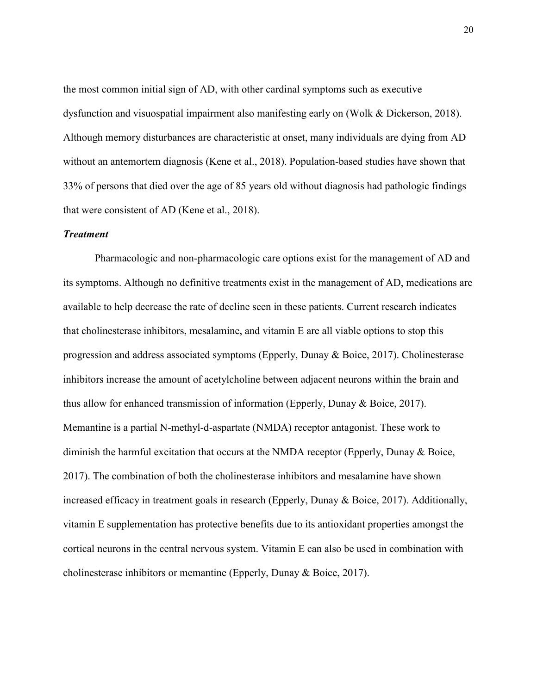the most common initial sign of AD, with other cardinal symptoms such as executive dysfunction and visuospatial impairment also manifesting early on (Wolk & Dickerson, 2018). Although memory disturbances are characteristic at onset, many individuals are dying from AD without an antemortem diagnosis (Kene et al., 2018). Population-based studies have shown that 33% of persons that died over the age of 85 years old without diagnosis had pathologic findings that were consistent of AD (Kene et al., 2018).

#### *Treatment*

Pharmacologic and non-pharmacologic care options exist for the management of AD and its symptoms. Although no definitive treatments exist in the management of AD, medications are available to help decrease the rate of decline seen in these patients. Current research indicates that cholinesterase inhibitors, mesalamine, and vitamin E are all viable options to stop this progression and address associated symptoms (Epperly, Dunay & Boice, 2017). Cholinesterase inhibitors increase the amount of acetylcholine between adjacent neurons within the brain and thus allow for enhanced transmission of information (Epperly, Dunay & Boice, 2017). Memantine is a partial N-methyl-d-aspartate (NMDA) receptor antagonist. These work to diminish the harmful excitation that occurs at the NMDA receptor (Epperly, Dunay & Boice, 2017). The combination of both the cholinesterase inhibitors and mesalamine have shown increased efficacy in treatment goals in research (Epperly, Dunay & Boice, 2017). Additionally, vitamin E supplementation has protective benefits due to its antioxidant properties amongst the cortical neurons in the central nervous system. Vitamin E can also be used in combination with cholinesterase inhibitors or memantine (Epperly, Dunay & Boice, 2017).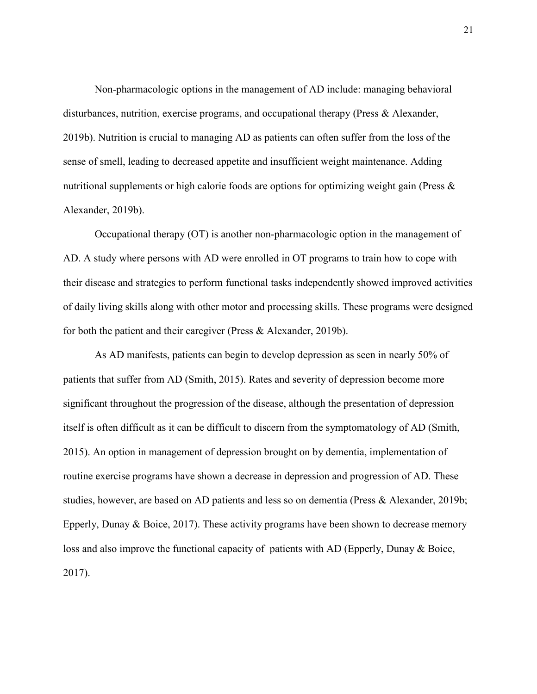Non-pharmacologic options in the management of AD include: managing behavioral disturbances, nutrition, exercise programs, and occupational therapy (Press & Alexander, 2019b). Nutrition is crucial to managing AD as patients can often suffer from the loss of the sense of smell, leading to decreased appetite and insufficient weight maintenance. Adding nutritional supplements or high calorie foods are options for optimizing weight gain (Press & Alexander, 2019b).

Occupational therapy (OT) is another non-pharmacologic option in the management of AD. A study where persons with AD were enrolled in OT programs to train how to cope with their disease and strategies to perform functional tasks independently showed improved activities of daily living skills along with other motor and processing skills. These programs were designed for both the patient and their caregiver (Press & Alexander, 2019b).

As AD manifests, patients can begin to develop depression as seen in nearly 50% of patients that suffer from AD (Smith, 2015). Rates and severity of depression become more significant throughout the progression of the disease, although the presentation of depression itself is often difficult as it can be difficult to discern from the symptomatology of AD (Smith, 2015). An option in management of depression brought on by dementia, implementation of routine exercise programs have shown a decrease in depression and progression of AD. These studies, however, are based on AD patients and less so on dementia (Press & Alexander, 2019b; Epperly, Dunay & Boice, 2017). These activity programs have been shown to decrease memory loss and also improve the functional capacity of patients with AD (Epperly, Dunay & Boice, 2017).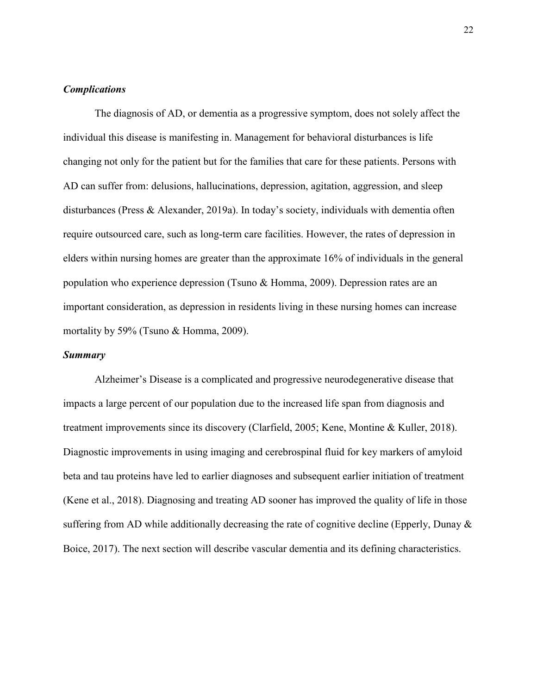## *Complications*

The diagnosis of AD, or dementia as a progressive symptom, does not solely affect the individual this disease is manifesting in. Management for behavioral disturbances is life changing not only for the patient but for the families that care for these patients. Persons with AD can suffer from: delusions, hallucinations, depression, agitation, aggression, and sleep disturbances (Press & Alexander, 2019a). In today's society, individuals with dementia often require outsourced care, such as long-term care facilities. However, the rates of depression in elders within nursing homes are greater than the approximate 16% of individuals in the general population who experience depression (Tsuno & Homma, 2009). Depression rates are an important consideration, as depression in residents living in these nursing homes can increase mortality by 59% (Tsuno & Homma, 2009).

#### *Summary*

Alzheimer's Disease is a complicated and progressive neurodegenerative disease that impacts a large percent of our population due to the increased life span from diagnosis and treatment improvements since its discovery (Clarfield, 2005; Kene, Montine & Kuller, 2018). Diagnostic improvements in using imaging and cerebrospinal fluid for key markers of amyloid beta and tau proteins have led to earlier diagnoses and subsequent earlier initiation of treatment (Kene et al., 2018). Diagnosing and treating AD sooner has improved the quality of life in those suffering from AD while additionally decreasing the rate of cognitive decline (Epperly, Dunay  $\&$ Boice, 2017). The next section will describe vascular dementia and its defining characteristics.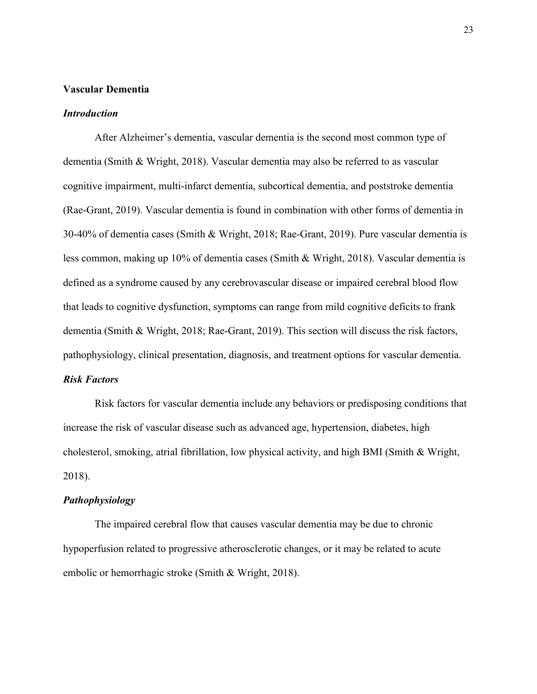#### **Vascular Dementia**

#### *Introduction*

After Alzheimer's dementia, vascular dementia is the second most common type of dementia (Smith & Wright, 2018). Vascular dementia may also be referred to as vascular cognitive impairment, multi-infarct dementia, subcortical dementia, and poststroke dementia (Rae-Grant, 2019). Vascular dementia is found in combination with other forms of dementia in 30-40% of dementia cases (Smith & Wright, 2018; Rae-Grant, 2019). Pure vascular dementia is less common, making up 10% of dementia cases (Smith & Wright, 2018). Vascular dementia is defined as a syndrome caused by any cerebrovascular disease or impaired cerebral blood flow that leads to cognitive dysfunction, symptoms can range from mild cognitive deficits to frank dementia (Smith & Wright, 2018; Rae-Grant, 2019). This section will discuss the risk factors, pathophysiology, clinical presentation, diagnosis, and treatment options for vascular dementia. *Risk Factors* 

Risk factors for vascular dementia include any behaviors or predisposing conditions that increase the risk of vascular disease such as advanced age, hypertension, diabetes, high cholesterol, smoking, atrial fibrillation, low physical activity, and high BMI (Smith & Wright, 2018).

#### *Pathophysiology*

The impaired cerebral flow that causes vascular dementia may be due to chronic hypoperfusion related to progressive atherosclerotic changes, or it may be related to acute embolic or hemorrhagic stroke (Smith & Wright, 2018).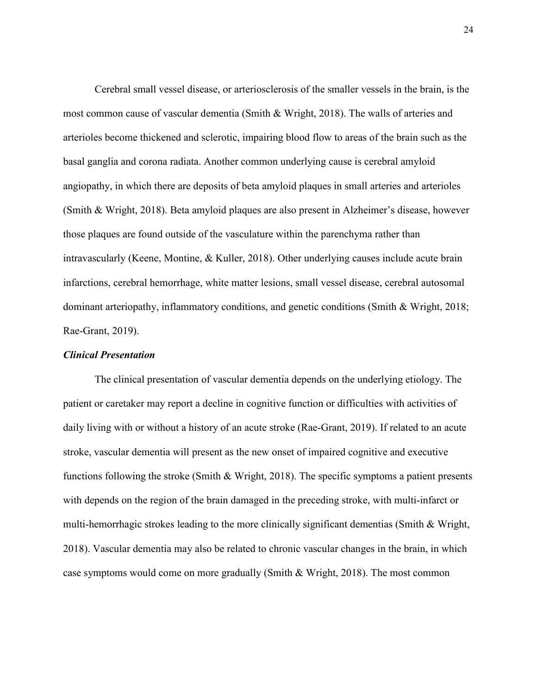Cerebral small vessel disease, or arteriosclerosis of the smaller vessels in the brain, is the most common cause of vascular dementia (Smith & Wright, 2018). The walls of arteries and arterioles become thickened and sclerotic, impairing blood flow to areas of the brain such as the basal ganglia and corona radiata. Another common underlying cause is cerebral amyloid angiopathy, in which there are deposits of beta amyloid plaques in small arteries and arterioles (Smith & Wright, 2018). Beta amyloid plaques are also present in Alzheimer's disease, however those plaques are found outside of the vasculature within the parenchyma rather than intravascularly (Keene, Montine, & Kuller, 2018). Other underlying causes include acute brain infarctions, cerebral hemorrhage, white matter lesions, small vessel disease, cerebral autosomal dominant arteriopathy, inflammatory conditions, and genetic conditions (Smith & Wright, 2018; Rae-Grant, 2019).

#### *Clinical Presentation*

The clinical presentation of vascular dementia depends on the underlying etiology. The patient or caretaker may report a decline in cognitive function or difficulties with activities of daily living with or without a history of an acute stroke (Rae-Grant, 2019). If related to an acute stroke, vascular dementia will present as the new onset of impaired cognitive and executive functions following the stroke (Smith & Wright, 2018). The specific symptoms a patient presents with depends on the region of the brain damaged in the preceding stroke, with multi-infarct or multi-hemorrhagic strokes leading to the more clinically significant dementias (Smith & Wright, 2018). Vascular dementia may also be related to chronic vascular changes in the brain, in which case symptoms would come on more gradually (Smith & Wright, 2018). The most common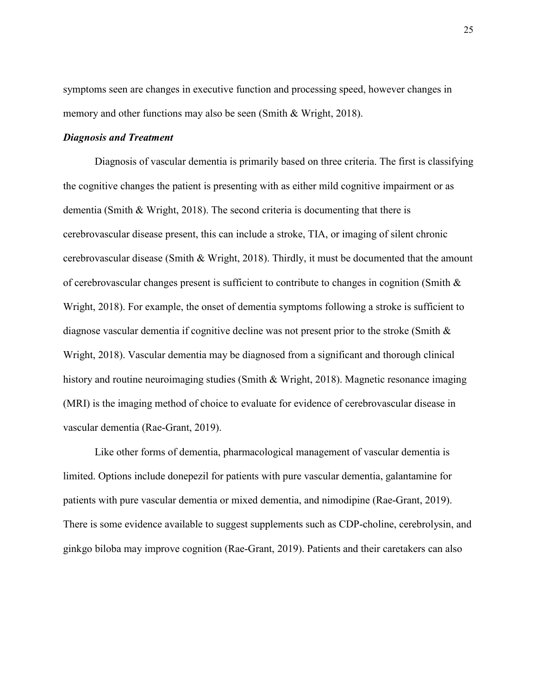symptoms seen are changes in executive function and processing speed, however changes in memory and other functions may also be seen (Smith & Wright, 2018).

## *Diagnosis and Treatment*

Diagnosis of vascular dementia is primarily based on three criteria. The first is classifying the cognitive changes the patient is presenting with as either mild cognitive impairment or as dementia (Smith & Wright, 2018). The second criteria is documenting that there is cerebrovascular disease present, this can include a stroke, TIA, or imaging of silent chronic cerebrovascular disease (Smith & Wright, 2018). Thirdly, it must be documented that the amount of cerebrovascular changes present is sufficient to contribute to changes in cognition (Smith & Wright, 2018). For example, the onset of dementia symptoms following a stroke is sufficient to diagnose vascular dementia if cognitive decline was not present prior to the stroke (Smith & Wright, 2018). Vascular dementia may be diagnosed from a significant and thorough clinical history and routine neuroimaging studies (Smith & Wright, 2018). Magnetic resonance imaging (MRI) is the imaging method of choice to evaluate for evidence of cerebrovascular disease in vascular dementia (Rae-Grant, 2019).

Like other forms of dementia, pharmacological management of vascular dementia is limited. Options include donepezil for patients with pure vascular dementia, galantamine for patients with pure vascular dementia or mixed dementia, and nimodipine (Rae-Grant, 2019). There is some evidence available to suggest supplements such as CDP-choline, cerebrolysin, and ginkgo biloba may improve cognition (Rae-Grant, 2019). Patients and their caretakers can also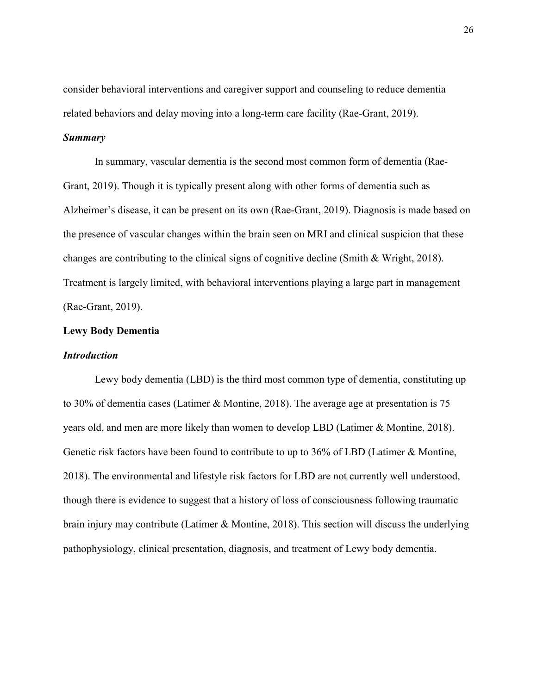consider behavioral interventions and caregiver support and counseling to reduce dementia related behaviors and delay moving into a long-term care facility (Rae-Grant, 2019).

## *Summary*

In summary, vascular dementia is the second most common form of dementia (Rae-Grant, 2019). Though it is typically present along with other forms of dementia such as Alzheimer's disease, it can be present on its own (Rae-Grant, 2019). Diagnosis is made based on the presence of vascular changes within the brain seen on MRI and clinical suspicion that these changes are contributing to the clinical signs of cognitive decline (Smith & Wright, 2018). Treatment is largely limited, with behavioral interventions playing a large part in management (Rae-Grant, 2019).

# **Lewy Body Dementia**

#### *Introduction*

Lewy body dementia (LBD) is the third most common type of dementia, constituting up to 30% of dementia cases (Latimer & Montine, 2018). The average age at presentation is 75 years old, and men are more likely than women to develop LBD (Latimer & Montine, 2018). Genetic risk factors have been found to contribute to up to 36% of LBD (Latimer & Montine, 2018). The environmental and lifestyle risk factors for LBD are not currently well understood, though there is evidence to suggest that a history of loss of consciousness following traumatic brain injury may contribute (Latimer & Montine, 2018). This section will discuss the underlying pathophysiology, clinical presentation, diagnosis, and treatment of Lewy body dementia.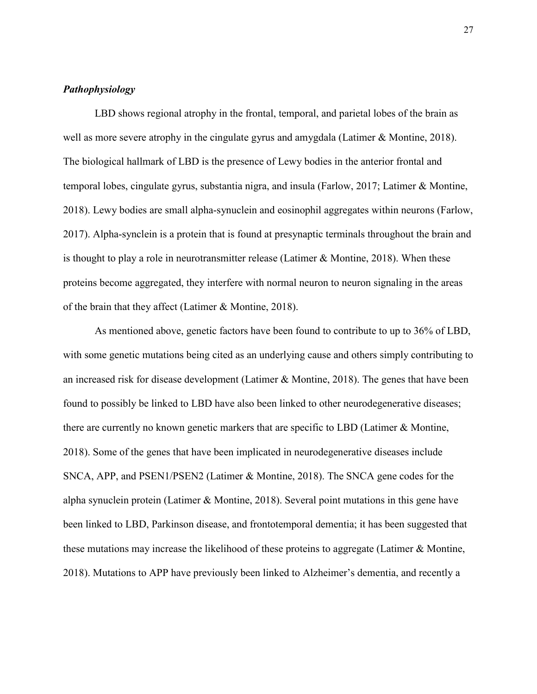## *Pathophysiology*

LBD shows regional atrophy in the frontal, temporal, and parietal lobes of the brain as well as more severe atrophy in the cingulate gyrus and amygdala (Latimer & Montine, 2018). The biological hallmark of LBD is the presence of Lewy bodies in the anterior frontal and temporal lobes, cingulate gyrus, substantia nigra, and insula (Farlow, 2017; Latimer & Montine, 2018). Lewy bodies are small alpha-synuclein and eosinophil aggregates within neurons (Farlow, 2017). Alpha-synclein is a protein that is found at presynaptic terminals throughout the brain and is thought to play a role in neurotransmitter release (Latimer & Montine, 2018). When these proteins become aggregated, they interfere with normal neuron to neuron signaling in the areas of the brain that they affect (Latimer & Montine, 2018).

As mentioned above, genetic factors have been found to contribute to up to 36% of LBD, with some genetic mutations being cited as an underlying cause and others simply contributing to an increased risk for disease development (Latimer & Montine, 2018). The genes that have been found to possibly be linked to LBD have also been linked to other neurodegenerative diseases; there are currently no known genetic markers that are specific to LBD (Latimer & Montine, 2018). Some of the genes that have been implicated in neurodegenerative diseases include SNCA, APP, and PSEN1/PSEN2 (Latimer & Montine, 2018). The SNCA gene codes for the alpha synuclein protein (Latimer & Montine, 2018). Several point mutations in this gene have been linked to LBD, Parkinson disease, and frontotemporal dementia; it has been suggested that these mutations may increase the likelihood of these proteins to aggregate (Latimer & Montine, 2018). Mutations to APP have previously been linked to Alzheimer's dementia, and recently a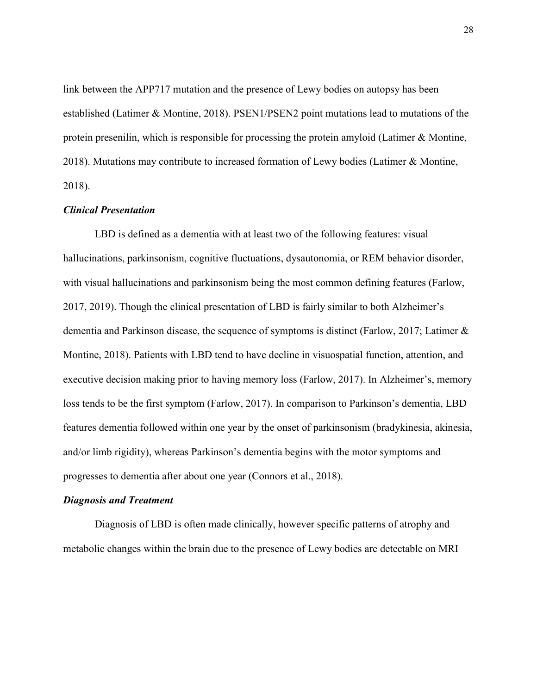link between the APP717 mutation and the presence of Lewy bodies on autopsy has been established (Latimer & Montine, 2018). PSEN1/PSEN2 point mutations lead to mutations of the protein presenilin, which is responsible for processing the protein amyloid (Latimer & Montine, 2018). Mutations may contribute to increased formation of Lewy bodies (Latimer & Montine, 2018).

### *Clinical Presentation*

LBD is defined as a dementia with at least two of the following features: visual hallucinations, parkinsonism, cognitive fluctuations, dysautonomia, or REM behavior disorder, with visual hallucinations and parkinsonism being the most common defining features (Farlow, 2017, 2019). Though the clinical presentation of LBD is fairly similar to both Alzheimer's dementia and Parkinson disease, the sequence of symptoms is distinct (Farlow, 2017; Latimer & Montine, 2018). Patients with LBD tend to have decline in visuospatial function, attention, and executive decision making prior to having memory loss (Farlow, 2017). In Alzheimer's, memory loss tends to be the first symptom (Farlow, 2017). In comparison to Parkinson's dementia, LBD features dementia followed within one year by the onset of parkinsonism (bradykinesia, akinesia, and/or limb rigidity), whereas Parkinson's dementia begins with the motor symptoms and progresses to dementia after about one year (Connors et al., 2018).

#### *Diagnosis and Treatment*

Diagnosis of LBD is often made clinically, however specific patterns of atrophy and metabolic changes within the brain due to the presence of Lewy bodies are detectable on MRI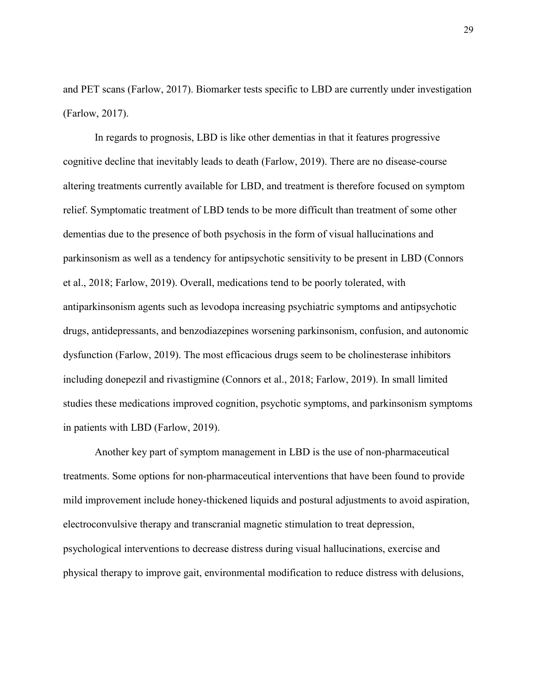and PET scans (Farlow, 2017). Biomarker tests specific to LBD are currently under investigation (Farlow, 2017).

In regards to prognosis, LBD is like other dementias in that it features progressive cognitive decline that inevitably leads to death (Farlow, 2019). There are no disease-course altering treatments currently available for LBD, and treatment is therefore focused on symptom relief. Symptomatic treatment of LBD tends to be more difficult than treatment of some other dementias due to the presence of both psychosis in the form of visual hallucinations and parkinsonism as well as a tendency for antipsychotic sensitivity to be present in LBD (Connors et al., 2018; Farlow, 2019). Overall, medications tend to be poorly tolerated, with antiparkinsonism agents such as levodopa increasing psychiatric symptoms and antipsychotic drugs, antidepressants, and benzodiazepines worsening parkinsonism, confusion, and autonomic dysfunction (Farlow, 2019). The most efficacious drugs seem to be cholinesterase inhibitors including donepezil and rivastigmine (Connors et al., 2018; Farlow, 2019). In small limited studies these medications improved cognition, psychotic symptoms, and parkinsonism symptoms in patients with LBD (Farlow, 2019).

Another key part of symptom management in LBD is the use of non-pharmaceutical treatments. Some options for non-pharmaceutical interventions that have been found to provide mild improvement include honey-thickened liquids and postural adjustments to avoid aspiration, electroconvulsive therapy and transcranial magnetic stimulation to treat depression, psychological interventions to decrease distress during visual hallucinations, exercise and physical therapy to improve gait, environmental modification to reduce distress with delusions,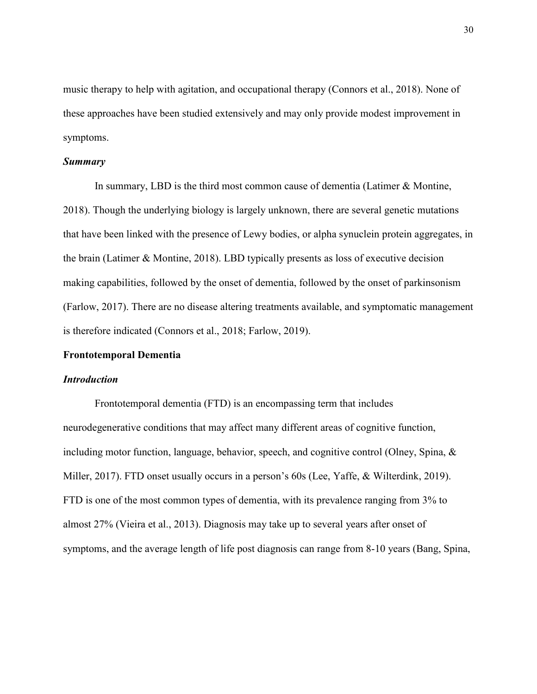music therapy to help with agitation, and occupational therapy (Connors et al., 2018). None of these approaches have been studied extensively and may only provide modest improvement in symptoms.

#### *Summary*

In summary, LBD is the third most common cause of dementia (Latimer & Montine, 2018). Though the underlying biology is largely unknown, there are several genetic mutations that have been linked with the presence of Lewy bodies, or alpha synuclein protein aggregates, in the brain (Latimer & Montine, 2018). LBD typically presents as loss of executive decision making capabilities, followed by the onset of dementia, followed by the onset of parkinsonism (Farlow, 2017). There are no disease altering treatments available, and symptomatic management is therefore indicated (Connors et al., 2018; Farlow, 2019).

#### **Frontotemporal Dementia**

#### *Introduction*

Frontotemporal dementia (FTD) is an encompassing term that includes neurodegenerative conditions that may affect many different areas of cognitive function, including motor function, language, behavior, speech, and cognitive control (Olney, Spina, & Miller, 2017). FTD onset usually occurs in a person's 60s (Lee, Yaffe, & Wilterdink, 2019). FTD is one of the most common types of dementia, with its prevalence ranging from 3% to almost 27% (Vieira et al., 2013). Diagnosis may take up to several years after onset of symptoms, and the average length of life post diagnosis can range from 8-10 years (Bang, Spina,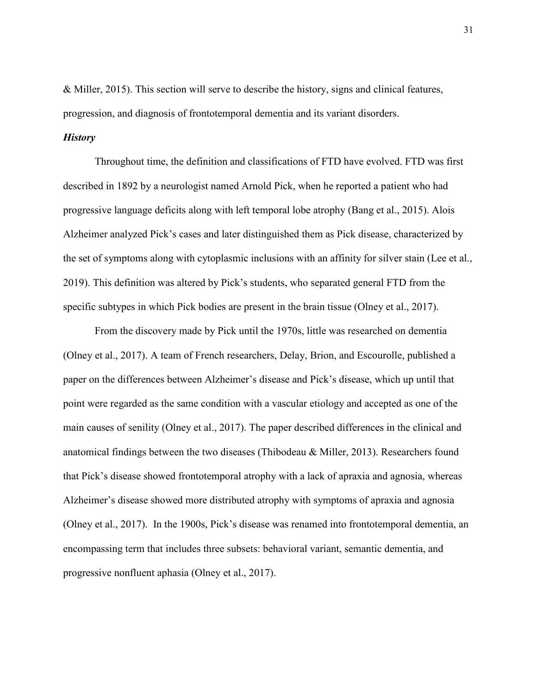& Miller, 2015). This section will serve to describe the history, signs and clinical features, progression, and diagnosis of frontotemporal dementia and its variant disorders.

## *History*

Throughout time, the definition and classifications of FTD have evolved. FTD was first described in 1892 by a neurologist named Arnold Pick, when he reported a patient who had progressive language deficits along with left temporal lobe atrophy (Bang et al., 2015). Alois Alzheimer analyzed Pick's cases and later distinguished them as Pick disease, characterized by the set of symptoms along with cytoplasmic inclusions with an affinity for silver stain (Lee et al., 2019). This definition was altered by Pick's students, who separated general FTD from the specific subtypes in which Pick bodies are present in the brain tissue (Olney et al., 2017).

 From the discovery made by Pick until the 1970s, little was researched on dementia (Olney et al., 2017). A team of French researchers, Delay, Brion, and Escourolle, published a paper on the differences between Alzheimer's disease and Pick's disease, which up until that point were regarded as the same condition with a vascular etiology and accepted as one of the main causes of senility (Olney et al., 2017). The paper described differences in the clinical and anatomical findings between the two diseases (Thibodeau & Miller, 2013). Researchers found that Pick's disease showed frontotemporal atrophy with a lack of apraxia and agnosia, whereas Alzheimer's disease showed more distributed atrophy with symptoms of apraxia and agnosia (Olney et al., 2017). In the 1900s, Pick's disease was renamed into frontotemporal dementia, an encompassing term that includes three subsets: behavioral variant, semantic dementia, and progressive nonfluent aphasia (Olney et al., 2017).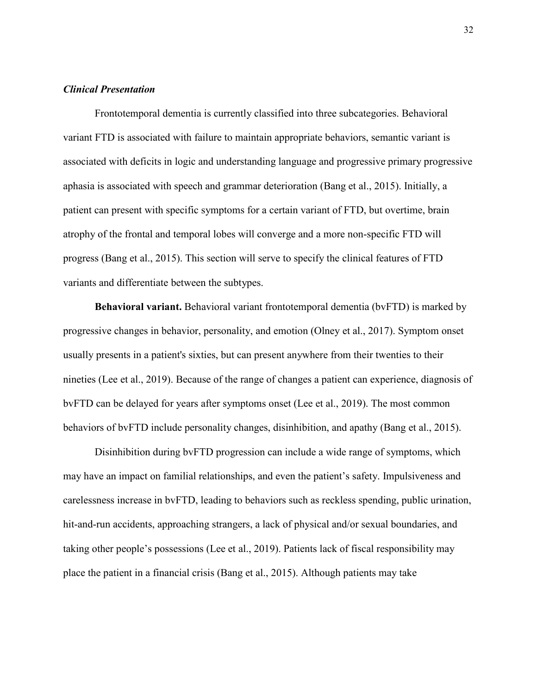## *Clinical Presentation*

Frontotemporal dementia is currently classified into three subcategories. Behavioral variant FTD is associated with failure to maintain appropriate behaviors, semantic variant is associated with deficits in logic and understanding language and progressive primary progressive aphasia is associated with speech and grammar deterioration (Bang et al., 2015). Initially, a patient can present with specific symptoms for a certain variant of FTD, but overtime, brain atrophy of the frontal and temporal lobes will converge and a more non-specific FTD will progress (Bang et al., 2015). This section will serve to specify the clinical features of FTD variants and differentiate between the subtypes.

**Behavioral variant.** Behavioral variant frontotemporal dementia (bvFTD) is marked by progressive changes in behavior, personality, and emotion (Olney et al., 2017). Symptom onset usually presents in a patient's sixties, but can present anywhere from their twenties to their nineties (Lee et al., 2019). Because of the range of changes a patient can experience, diagnosis of bvFTD can be delayed for years after symptoms onset (Lee et al., 2019). The most common behaviors of bvFTD include personality changes, disinhibition, and apathy (Bang et al., 2015).

 Disinhibition during bvFTD progression can include a wide range of symptoms, which may have an impact on familial relationships, and even the patient's safety. Impulsiveness and carelessness increase in bvFTD, leading to behaviors such as reckless spending, public urination, hit-and-run accidents, approaching strangers, a lack of physical and/or sexual boundaries, and taking other people's possessions (Lee et al., 2019). Patients lack of fiscal responsibility may place the patient in a financial crisis (Bang et al., 2015). Although patients may take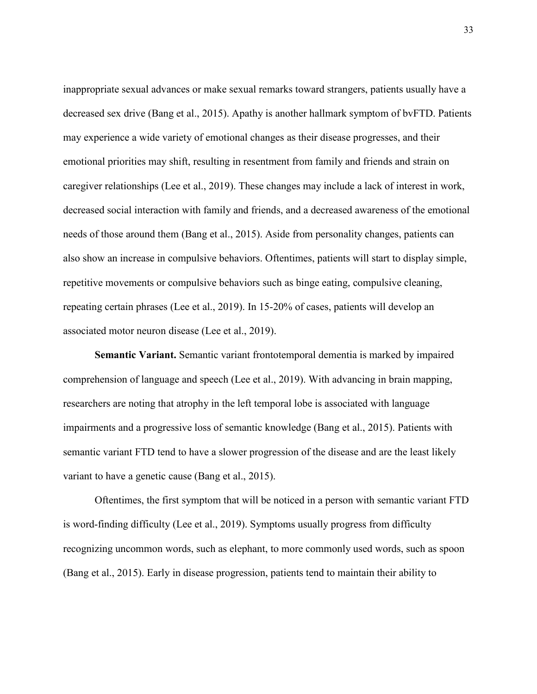inappropriate sexual advances or make sexual remarks toward strangers, patients usually have a decreased sex drive (Bang et al., 2015). Apathy is another hallmark symptom of bvFTD. Patients may experience a wide variety of emotional changes as their disease progresses, and their emotional priorities may shift, resulting in resentment from family and friends and strain on caregiver relationships (Lee et al., 2019). These changes may include a lack of interest in work, decreased social interaction with family and friends, and a decreased awareness of the emotional needs of those around them (Bang et al., 2015). Aside from personality changes, patients can also show an increase in compulsive behaviors. Oftentimes, patients will start to display simple, repetitive movements or compulsive behaviors such as binge eating, compulsive cleaning, repeating certain phrases (Lee et al., 2019). In 15-20% of cases, patients will develop an associated motor neuron disease (Lee et al., 2019).

**Semantic Variant.** Semantic variant frontotemporal dementia is marked by impaired comprehension of language and speech (Lee et al., 2019). With advancing in brain mapping, researchers are noting that atrophy in the left temporal lobe is associated with language impairments and a progressive loss of semantic knowledge (Bang et al., 2015). Patients with semantic variant FTD tend to have a slower progression of the disease and are the least likely variant to have a genetic cause (Bang et al., 2015).

Oftentimes, the first symptom that will be noticed in a person with semantic variant FTD is word-finding difficulty (Lee et al., 2019). Symptoms usually progress from difficulty recognizing uncommon words, such as elephant, to more commonly used words, such as spoon (Bang et al., 2015). Early in disease progression, patients tend to maintain their ability to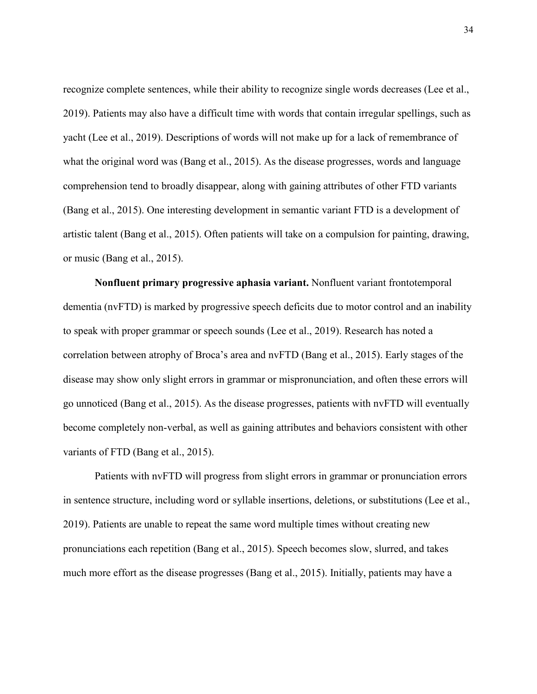recognize complete sentences, while their ability to recognize single words decreases (Lee et al., 2019). Patients may also have a difficult time with words that contain irregular spellings, such as yacht (Lee et al., 2019). Descriptions of words will not make up for a lack of remembrance of what the original word was (Bang et al., 2015). As the disease progresses, words and language comprehension tend to broadly disappear, along with gaining attributes of other FTD variants (Bang et al., 2015). One interesting development in semantic variant FTD is a development of artistic talent (Bang et al., 2015). Often patients will take on a compulsion for painting, drawing, or music (Bang et al., 2015).

**Nonfluent primary progressive aphasia variant.** Nonfluent variant frontotemporal dementia (nvFTD) is marked by progressive speech deficits due to motor control and an inability to speak with proper grammar or speech sounds (Lee et al., 2019). Research has noted a correlation between atrophy of Broca's area and nvFTD (Bang et al., 2015). Early stages of the disease may show only slight errors in grammar or mispronunciation, and often these errors will go unnoticed (Bang et al., 2015). As the disease progresses, patients with nvFTD will eventually become completely non-verbal, as well as gaining attributes and behaviors consistent with other variants of FTD (Bang et al., 2015).

 Patients with nvFTD will progress from slight errors in grammar or pronunciation errors in sentence structure, including word or syllable insertions, deletions, or substitutions (Lee et al., 2019). Patients are unable to repeat the same word multiple times without creating new pronunciations each repetition (Bang et al., 2015). Speech becomes slow, slurred, and takes much more effort as the disease progresses (Bang et al., 2015). Initially, patients may have a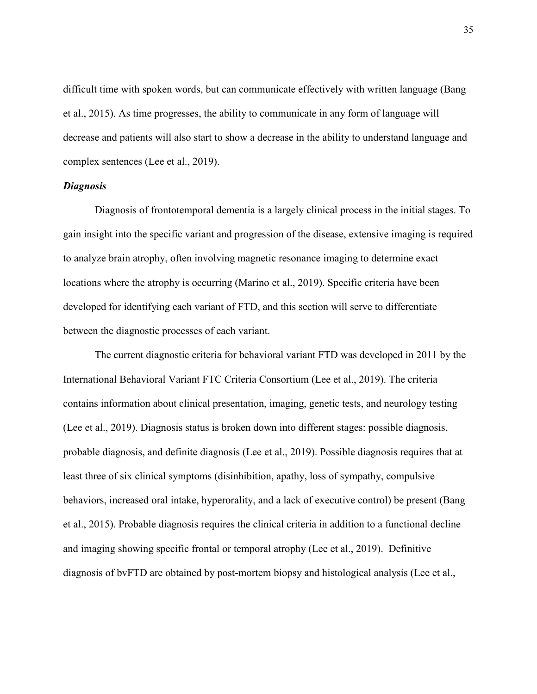difficult time with spoken words, but can communicate effectively with written language (Bang et al., 2015). As time progresses, the ability to communicate in any form of language will decrease and patients will also start to show a decrease in the ability to understand language and complex sentences (Lee et al., 2019).

## *Diagnosis*

Diagnosis of frontotemporal dementia is a largely clinical process in the initial stages. To gain insight into the specific variant and progression of the disease, extensive imaging is required to analyze brain atrophy, often involving magnetic resonance imaging to determine exact locations where the atrophy is occurring (Marino et al., 2019). Specific criteria have been developed for identifying each variant of FTD, and this section will serve to differentiate between the diagnostic processes of each variant.

 The current diagnostic criteria for behavioral variant FTD was developed in 2011 by the International Behavioral Variant FTC Criteria Consortium (Lee et al., 2019). The criteria contains information about clinical presentation, imaging, genetic tests, and neurology testing (Lee et al., 2019). Diagnosis status is broken down into different stages: possible diagnosis, probable diagnosis, and definite diagnosis (Lee et al., 2019). Possible diagnosis requires that at least three of six clinical symptoms (disinhibition, apathy, loss of sympathy, compulsive behaviors, increased oral intake, hyperorality, and a lack of executive control) be present (Bang et al., 2015). Probable diagnosis requires the clinical criteria in addition to a functional decline and imaging showing specific frontal or temporal atrophy (Lee et al., 2019). Definitive diagnosis of bvFTD are obtained by post-mortem biopsy and histological analysis (Lee et al.,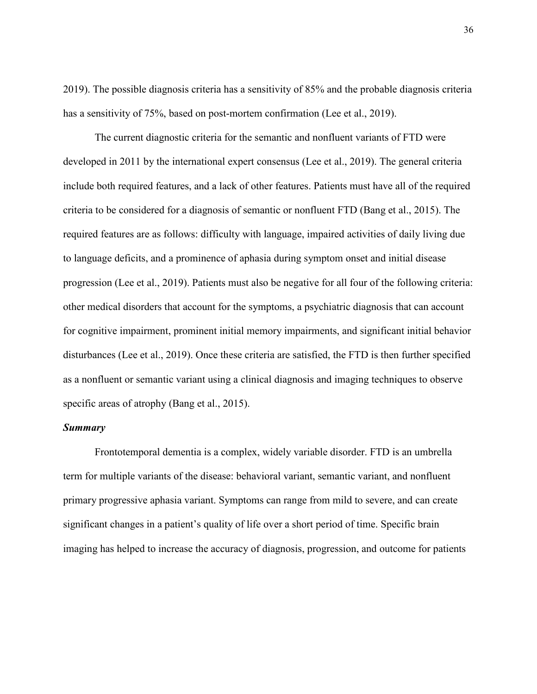2019). The possible diagnosis criteria has a sensitivity of 85% and the probable diagnosis criteria has a sensitivity of 75%, based on post-mortem confirmation (Lee et al., 2019).

The current diagnostic criteria for the semantic and nonfluent variants of FTD were developed in 2011 by the international expert consensus (Lee et al., 2019). The general criteria include both required features, and a lack of other features. Patients must have all of the required criteria to be considered for a diagnosis of semantic or nonfluent FTD (Bang et al., 2015). The required features are as follows: difficulty with language, impaired activities of daily living due to language deficits, and a prominence of aphasia during symptom onset and initial disease progression (Lee et al., 2019). Patients must also be negative for all four of the following criteria: other medical disorders that account for the symptoms, a psychiatric diagnosis that can account for cognitive impairment, prominent initial memory impairments, and significant initial behavior disturbances (Lee et al., 2019). Once these criteria are satisfied, the FTD is then further specified as a nonfluent or semantic variant using a clinical diagnosis and imaging techniques to observe specific areas of atrophy (Bang et al., 2015).

#### *Summary*

Frontotemporal dementia is a complex, widely variable disorder. FTD is an umbrella term for multiple variants of the disease: behavioral variant, semantic variant, and nonfluent primary progressive aphasia variant. Symptoms can range from mild to severe, and can create significant changes in a patient's quality of life over a short period of time. Specific brain imaging has helped to increase the accuracy of diagnosis, progression, and outcome for patients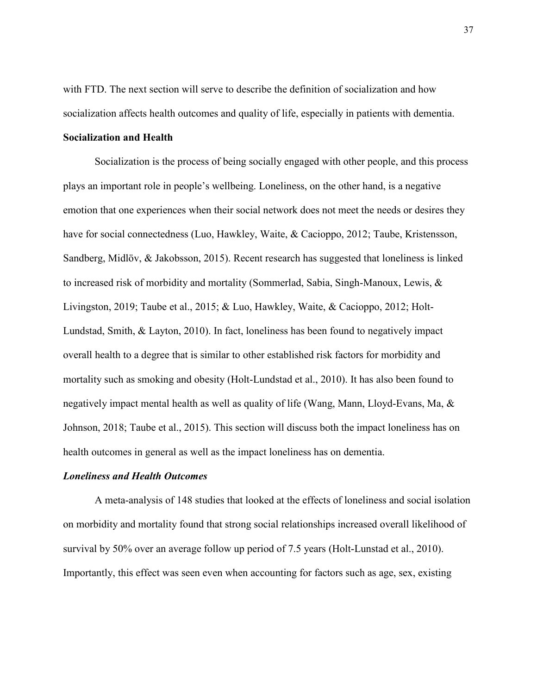with FTD. The next section will serve to describe the definition of socialization and how socialization affects health outcomes and quality of life, especially in patients with dementia.

## **Socialization and Health**

Socialization is the process of being socially engaged with other people, and this process plays an important role in people's wellbeing. Loneliness, on the other hand, is a negative emotion that one experiences when their social network does not meet the needs or desires they have for social connectedness (Luo, Hawkley, Waite, & Cacioppo, 2012; Taube, Kristensson, Sandberg, Midlöv, & Jakobsson, 2015). Recent research has suggested that loneliness is linked to increased risk of morbidity and mortality (Sommerlad, Sabia, Singh-Manoux, Lewis, & Livingston, 2019; Taube et al., 2015; & Luo, Hawkley, Waite, & Cacioppo, 2012; Holt-Lundstad, Smith, & Layton, 2010). In fact, loneliness has been found to negatively impact overall health to a degree that is similar to other established risk factors for morbidity and mortality such as smoking and obesity (Holt-Lundstad et al., 2010). It has also been found to negatively impact mental health as well as quality of life (Wang, Mann, Lloyd-Evans, Ma, & Johnson, 2018; Taube et al., 2015). This section will discuss both the impact loneliness has on health outcomes in general as well as the impact loneliness has on dementia.

## *Loneliness and Health Outcomes*

A meta-analysis of 148 studies that looked at the effects of loneliness and social isolation on morbidity and mortality found that strong social relationships increased overall likelihood of survival by 50% over an average follow up period of 7.5 years (Holt-Lunstad et al., 2010). Importantly, this effect was seen even when accounting for factors such as age, sex, existing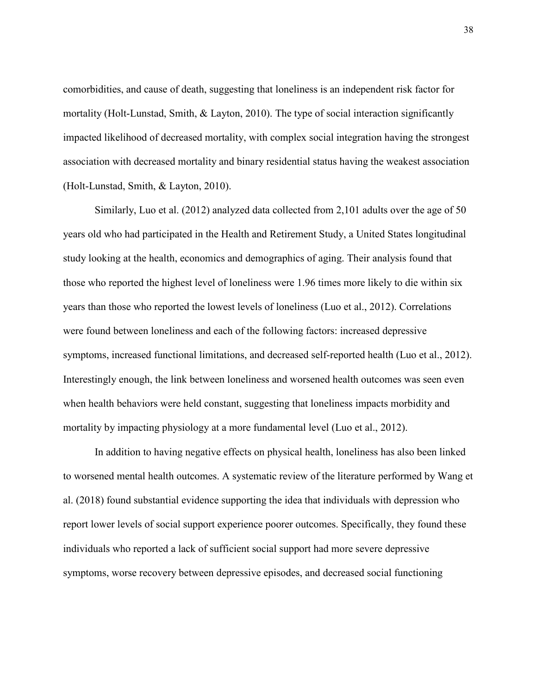comorbidities, and cause of death, suggesting that loneliness is an independent risk factor for mortality (Holt-Lunstad, Smith, & Layton, 2010). The type of social interaction significantly impacted likelihood of decreased mortality, with complex social integration having the strongest association with decreased mortality and binary residential status having the weakest association (Holt-Lunstad, Smith, & Layton, 2010).

Similarly, Luo et al. (2012) analyzed data collected from 2,101 adults over the age of 50 years old who had participated in the Health and Retirement Study, a United States longitudinal study looking at the health, economics and demographics of aging. Their analysis found that those who reported the highest level of loneliness were 1.96 times more likely to die within six years than those who reported the lowest levels of loneliness (Luo et al., 2012). Correlations were found between loneliness and each of the following factors: increased depressive symptoms, increased functional limitations, and decreased self-reported health (Luo et al., 2012). Interestingly enough, the link between loneliness and worsened health outcomes was seen even when health behaviors were held constant, suggesting that loneliness impacts morbidity and mortality by impacting physiology at a more fundamental level (Luo et al., 2012).

In addition to having negative effects on physical health, loneliness has also been linked to worsened mental health outcomes. A systematic review of the literature performed by Wang et al. (2018) found substantial evidence supporting the idea that individuals with depression who report lower levels of social support experience poorer outcomes. Specifically, they found these individuals who reported a lack of sufficient social support had more severe depressive symptoms, worse recovery between depressive episodes, and decreased social functioning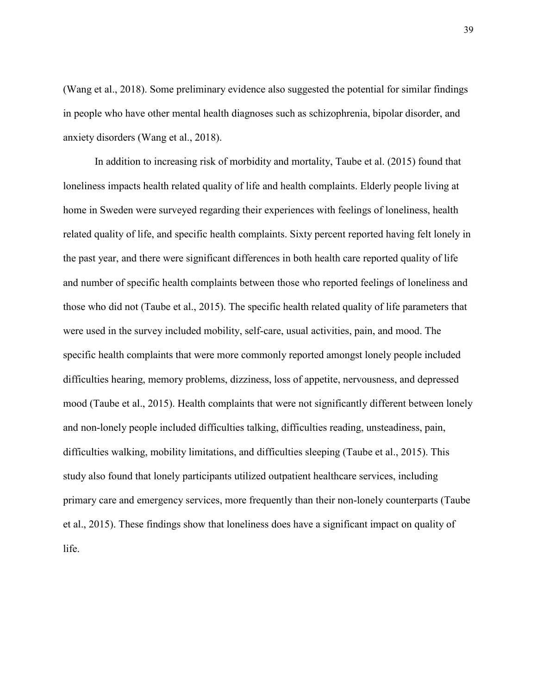(Wang et al., 2018). Some preliminary evidence also suggested the potential for similar findings in people who have other mental health diagnoses such as schizophrenia, bipolar disorder, and anxiety disorders (Wang et al., 2018).

In addition to increasing risk of morbidity and mortality, Taube et al. (2015) found that loneliness impacts health related quality of life and health complaints. Elderly people living at home in Sweden were surveyed regarding their experiences with feelings of loneliness, health related quality of life, and specific health complaints. Sixty percent reported having felt lonely in the past year, and there were significant differences in both health care reported quality of life and number of specific health complaints between those who reported feelings of loneliness and those who did not (Taube et al., 2015). The specific health related quality of life parameters that were used in the survey included mobility, self-care, usual activities, pain, and mood. The specific health complaints that were more commonly reported amongst lonely people included difficulties hearing, memory problems, dizziness, loss of appetite, nervousness, and depressed mood (Taube et al., 2015). Health complaints that were not significantly different between lonely and non-lonely people included difficulties talking, difficulties reading, unsteadiness, pain, difficulties walking, mobility limitations, and difficulties sleeping (Taube et al., 2015). This study also found that lonely participants utilized outpatient healthcare services, including primary care and emergency services, more frequently than their non-lonely counterparts (Taube et al., 2015). These findings show that loneliness does have a significant impact on quality of life.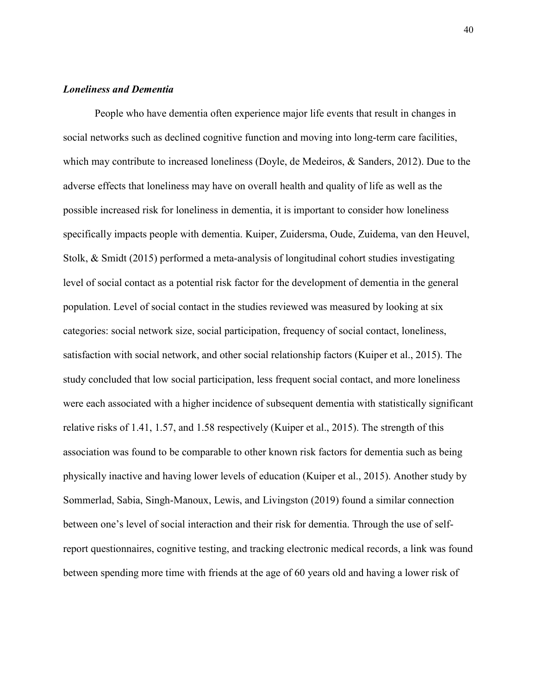# *Loneliness and Dementia*

People who have dementia often experience major life events that result in changes in social networks such as declined cognitive function and moving into long-term care facilities, which may contribute to increased loneliness (Doyle, de Medeiros, & Sanders, 2012). Due to the adverse effects that loneliness may have on overall health and quality of life as well as the possible increased risk for loneliness in dementia, it is important to consider how loneliness specifically impacts people with dementia. Kuiper, Zuidersma, Oude, Zuidema, van den Heuvel, Stolk, & Smidt (2015) performed a meta-analysis of longitudinal cohort studies investigating level of social contact as a potential risk factor for the development of dementia in the general population. Level of social contact in the studies reviewed was measured by looking at six categories: social network size, social participation, frequency of social contact, loneliness, satisfaction with social network, and other social relationship factors (Kuiper et al., 2015). The study concluded that low social participation, less frequent social contact, and more loneliness were each associated with a higher incidence of subsequent dementia with statistically significant relative risks of 1.41, 1.57, and 1.58 respectively (Kuiper et al., 2015). The strength of this association was found to be comparable to other known risk factors for dementia such as being physically inactive and having lower levels of education (Kuiper et al., 2015). Another study by Sommerlad, Sabia, Singh-Manoux, Lewis, and Livingston (2019) found a similar connection between one's level of social interaction and their risk for dementia. Through the use of selfreport questionnaires, cognitive testing, and tracking electronic medical records, a link was found between spending more time with friends at the age of 60 years old and having a lower risk of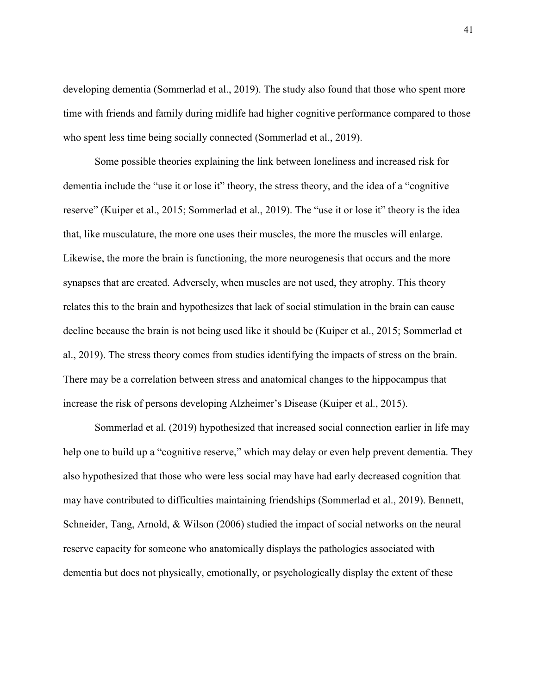developing dementia (Sommerlad et al., 2019). The study also found that those who spent more time with friends and family during midlife had higher cognitive performance compared to those who spent less time being socially connected (Sommerlad et al., 2019).

Some possible theories explaining the link between loneliness and increased risk for dementia include the "use it or lose it" theory, the stress theory, and the idea of a "cognitive reserve" (Kuiper et al., 2015; Sommerlad et al., 2019). The "use it or lose it" theory is the idea that, like musculature, the more one uses their muscles, the more the muscles will enlarge. Likewise, the more the brain is functioning, the more neurogenesis that occurs and the more synapses that are created. Adversely, when muscles are not used, they atrophy. This theory relates this to the brain and hypothesizes that lack of social stimulation in the brain can cause decline because the brain is not being used like it should be (Kuiper et al., 2015; Sommerlad et al., 2019). The stress theory comes from studies identifying the impacts of stress on the brain. There may be a correlation between stress and anatomical changes to the hippocampus that increase the risk of persons developing Alzheimer's Disease (Kuiper et al., 2015).

Sommerlad et al. (2019) hypothesized that increased social connection earlier in life may help one to build up a "cognitive reserve," which may delay or even help prevent dementia. They also hypothesized that those who were less social may have had early decreased cognition that may have contributed to difficulties maintaining friendships (Sommerlad et al., 2019). Bennett, Schneider, Tang, Arnold, & Wilson (2006) studied the impact of social networks on the neural reserve capacity for someone who anatomically displays the pathologies associated with dementia but does not physically, emotionally, or psychologically display the extent of these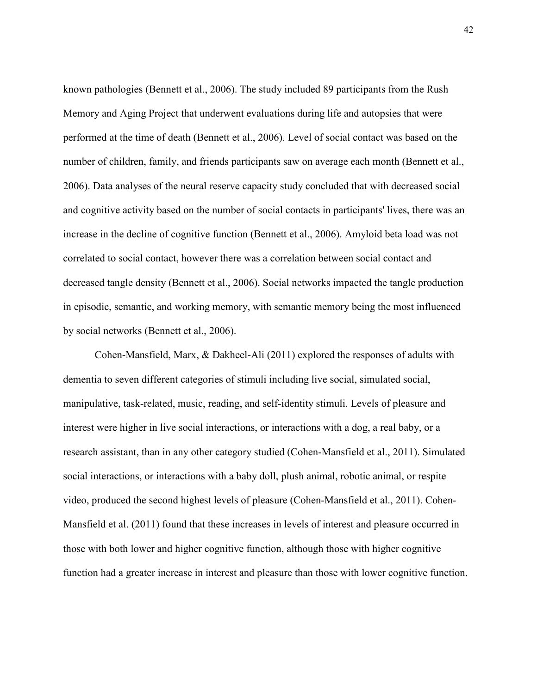known pathologies (Bennett et al., 2006). The study included 89 participants from the Rush Memory and Aging Project that underwent evaluations during life and autopsies that were performed at the time of death (Bennett et al., 2006). Level of social contact was based on the number of children, family, and friends participants saw on average each month (Bennett et al., 2006). Data analyses of the neural reserve capacity study concluded that with decreased social and cognitive activity based on the number of social contacts in participants' lives, there was an increase in the decline of cognitive function (Bennett et al., 2006). Amyloid beta load was not correlated to social contact, however there was a correlation between social contact and decreased tangle density (Bennett et al., 2006). Social networks impacted the tangle production in episodic, semantic, and working memory, with semantic memory being the most influenced by social networks (Bennett et al., 2006).

Cohen-Mansfield, Marx, & Dakheel-Ali (2011) explored the responses of adults with dementia to seven different categories of stimuli including live social, simulated social, manipulative, task-related, music, reading, and self-identity stimuli. Levels of pleasure and interest were higher in live social interactions, or interactions with a dog, a real baby, or a research assistant, than in any other category studied (Cohen-Mansfield et al., 2011). Simulated social interactions, or interactions with a baby doll, plush animal, robotic animal, or respite video, produced the second highest levels of pleasure (Cohen-Mansfield et al., 2011). Cohen-Mansfield et al. (2011) found that these increases in levels of interest and pleasure occurred in those with both lower and higher cognitive function, although those with higher cognitive function had a greater increase in interest and pleasure than those with lower cognitive function.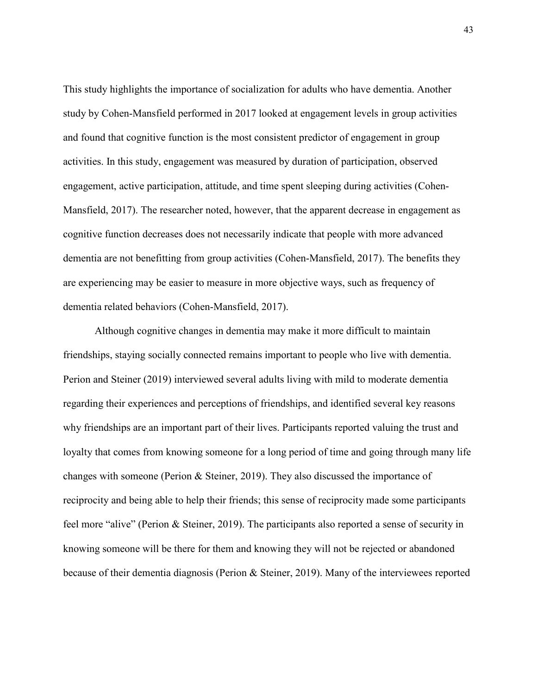This study highlights the importance of socialization for adults who have dementia. Another study by Cohen-Mansfield performed in 2017 looked at engagement levels in group activities and found that cognitive function is the most consistent predictor of engagement in group activities. In this study, engagement was measured by duration of participation, observed engagement, active participation, attitude, and time spent sleeping during activities (Cohen-Mansfield, 2017). The researcher noted, however, that the apparent decrease in engagement as cognitive function decreases does not necessarily indicate that people with more advanced dementia are not benefitting from group activities (Cohen-Mansfield, 2017). The benefits they are experiencing may be easier to measure in more objective ways, such as frequency of dementia related behaviors (Cohen-Mansfield, 2017).

Although cognitive changes in dementia may make it more difficult to maintain friendships, staying socially connected remains important to people who live with dementia. Perion and Steiner (2019) interviewed several adults living with mild to moderate dementia regarding their experiences and perceptions of friendships, and identified several key reasons why friendships are an important part of their lives. Participants reported valuing the trust and loyalty that comes from knowing someone for a long period of time and going through many life changes with someone (Perion & Steiner, 2019). They also discussed the importance of reciprocity and being able to help their friends; this sense of reciprocity made some participants feel more "alive" (Perion & Steiner, 2019). The participants also reported a sense of security in knowing someone will be there for them and knowing they will not be rejected or abandoned because of their dementia diagnosis (Perion & Steiner, 2019). Many of the interviewees reported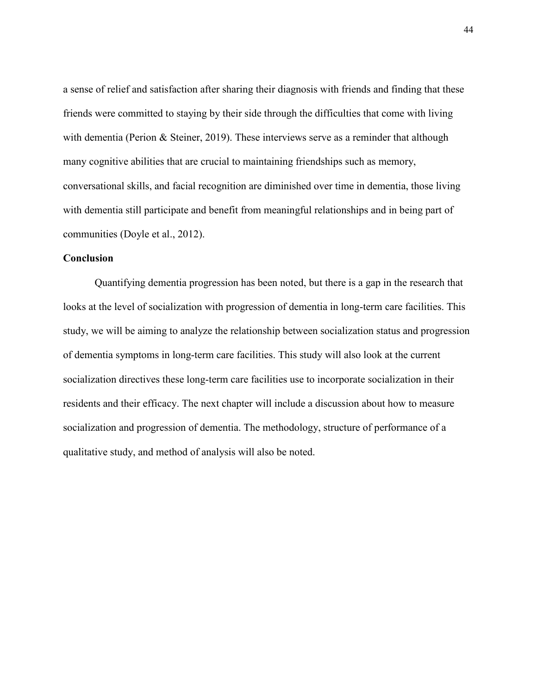a sense of relief and satisfaction after sharing their diagnosis with friends and finding that these friends were committed to staying by their side through the difficulties that come with living with dementia (Perion & Steiner, 2019). These interviews serve as a reminder that although many cognitive abilities that are crucial to maintaining friendships such as memory, conversational skills, and facial recognition are diminished over time in dementia, those living with dementia still participate and benefit from meaningful relationships and in being part of communities (Doyle et al., 2012).

# **Conclusion**

Quantifying dementia progression has been noted, but there is a gap in the research that looks at the level of socialization with progression of dementia in long-term care facilities. This study, we will be aiming to analyze the relationship between socialization status and progression of dementia symptoms in long-term care facilities. This study will also look at the current socialization directives these long-term care facilities use to incorporate socialization in their residents and their efficacy. The next chapter will include a discussion about how to measure socialization and progression of dementia. The methodology, structure of performance of a qualitative study, and method of analysis will also be noted.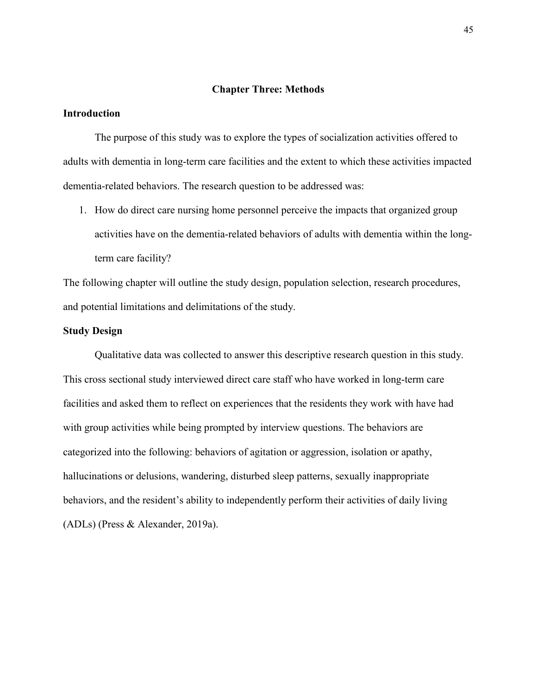## **Chapter Three: Methods**

# **Introduction**

The purpose of this study was to explore the types of socialization activities offered to adults with dementia in long-term care facilities and the extent to which these activities impacted dementia-related behaviors. The research question to be addressed was:

1. How do direct care nursing home personnel perceive the impacts that organized group activities have on the dementia-related behaviors of adults with dementia within the longterm care facility?

The following chapter will outline the study design, population selection, research procedures, and potential limitations and delimitations of the study.

# **Study Design**

Qualitative data was collected to answer this descriptive research question in this study. This cross sectional study interviewed direct care staff who have worked in long-term care facilities and asked them to reflect on experiences that the residents they work with have had with group activities while being prompted by interview questions. The behaviors are categorized into the following: behaviors of agitation or aggression, isolation or apathy, hallucinations or delusions, wandering, disturbed sleep patterns, sexually inappropriate behaviors, and the resident's ability to independently perform their activities of daily living (ADLs) (Press & Alexander, 2019a).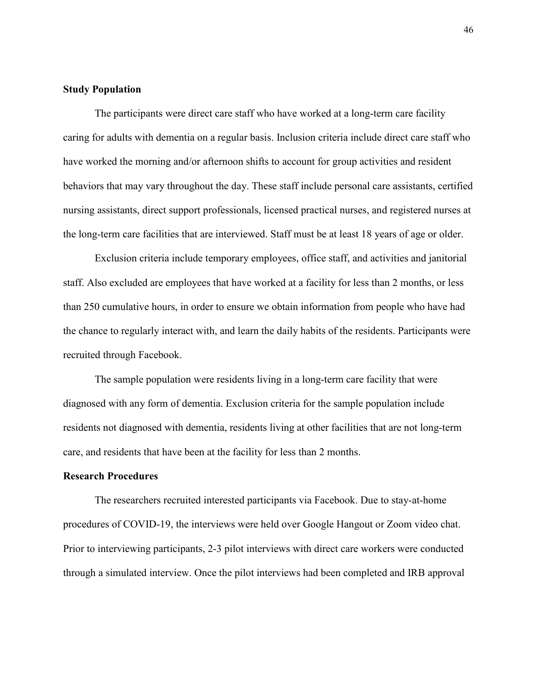# **Study Population**

The participants were direct care staff who have worked at a long-term care facility caring for adults with dementia on a regular basis. Inclusion criteria include direct care staff who have worked the morning and/or afternoon shifts to account for group activities and resident behaviors that may vary throughout the day. These staff include personal care assistants, certified nursing assistants, direct support professionals, licensed practical nurses, and registered nurses at the long-term care facilities that are interviewed. Staff must be at least 18 years of age or older.

Exclusion criteria include temporary employees, office staff, and activities and janitorial staff. Also excluded are employees that have worked at a facility for less than 2 months, or less than 250 cumulative hours, in order to ensure we obtain information from people who have had the chance to regularly interact with, and learn the daily habits of the residents. Participants were recruited through Facebook.

The sample population were residents living in a long-term care facility that were diagnosed with any form of dementia. Exclusion criteria for the sample population include residents not diagnosed with dementia, residents living at other facilities that are not long-term care, and residents that have been at the facility for less than 2 months.

#### **Research Procedures**

The researchers recruited interested participants via Facebook. Due to stay-at-home procedures of COVID-19, the interviews were held over Google Hangout or Zoom video chat. Prior to interviewing participants, 2-3 pilot interviews with direct care workers were conducted through a simulated interview. Once the pilot interviews had been completed and IRB approval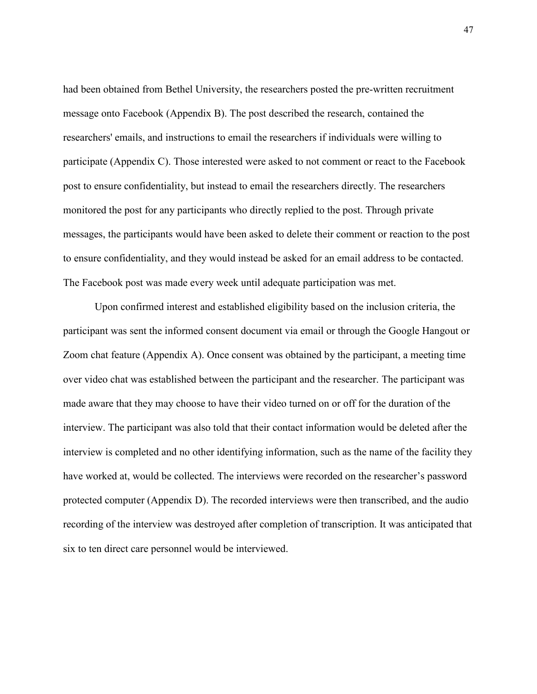had been obtained from Bethel University, the researchers posted the pre-written recruitment message onto Facebook (Appendix B). The post described the research, contained the researchers' emails, and instructions to email the researchers if individuals were willing to participate (Appendix C). Those interested were asked to not comment or react to the Facebook post to ensure confidentiality, but instead to email the researchers directly. The researchers monitored the post for any participants who directly replied to the post. Through private messages, the participants would have been asked to delete their comment or reaction to the post to ensure confidentiality, and they would instead be asked for an email address to be contacted. The Facebook post was made every week until adequate participation was met.

Upon confirmed interest and established eligibility based on the inclusion criteria, the participant was sent the informed consent document via email or through the Google Hangout or Zoom chat feature (Appendix A). Once consent was obtained by the participant, a meeting time over video chat was established between the participant and the researcher. The participant was made aware that they may choose to have their video turned on or off for the duration of the interview. The participant was also told that their contact information would be deleted after the interview is completed and no other identifying information, such as the name of the facility they have worked at, would be collected. The interviews were recorded on the researcher's password protected computer (Appendix D). The recorded interviews were then transcribed, and the audio recording of the interview was destroyed after completion of transcription. It was anticipated that six to ten direct care personnel would be interviewed.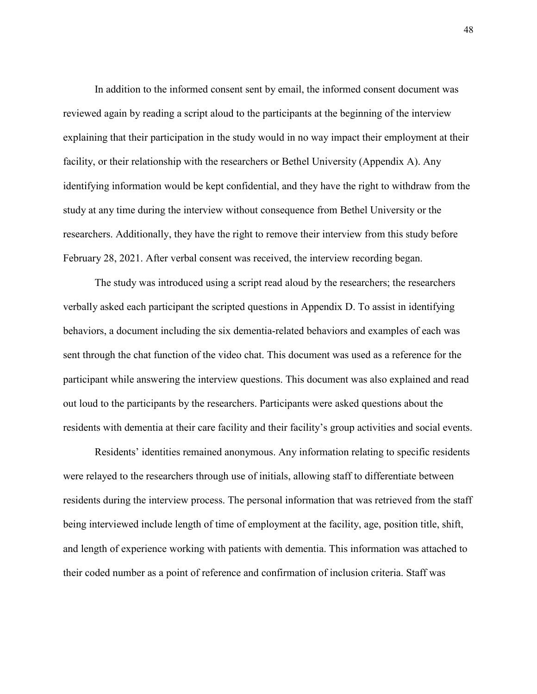In addition to the informed consent sent by email, the informed consent document was reviewed again by reading a script aloud to the participants at the beginning of the interview explaining that their participation in the study would in no way impact their employment at their facility, or their relationship with the researchers or Bethel University (Appendix A). Any identifying information would be kept confidential, and they have the right to withdraw from the study at any time during the interview without consequence from Bethel University or the researchers. Additionally, they have the right to remove their interview from this study before February 28, 2021. After verbal consent was received, the interview recording began.

The study was introduced using a script read aloud by the researchers; the researchers verbally asked each participant the scripted questions in Appendix D. To assist in identifying behaviors, a document including the six dementia-related behaviors and examples of each was sent through the chat function of the video chat. This document was used as a reference for the participant while answering the interview questions. This document was also explained and read out loud to the participants by the researchers. Participants were asked questions about the residents with dementia at their care facility and their facility's group activities and social events.

Residents' identities remained anonymous. Any information relating to specific residents were relayed to the researchers through use of initials, allowing staff to differentiate between residents during the interview process. The personal information that was retrieved from the staff being interviewed include length of time of employment at the facility, age, position title, shift, and length of experience working with patients with dementia. This information was attached to their coded number as a point of reference and confirmation of inclusion criteria. Staff was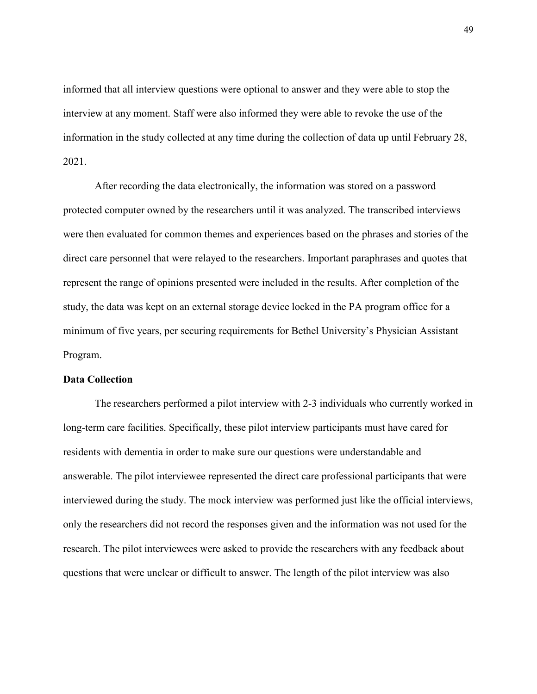informed that all interview questions were optional to answer and they were able to stop the interview at any moment. Staff were also informed they were able to revoke the use of the information in the study collected at any time during the collection of data up until February 28, 2021.

After recording the data electronically, the information was stored on a password protected computer owned by the researchers until it was analyzed. The transcribed interviews were then evaluated for common themes and experiences based on the phrases and stories of the direct care personnel that were relayed to the researchers. Important paraphrases and quotes that represent the range of opinions presented were included in the results. After completion of the study, the data was kept on an external storage device locked in the PA program office for a minimum of five years, per securing requirements for Bethel University's Physician Assistant Program.

# **Data Collection**

The researchers performed a pilot interview with 2-3 individuals who currently worked in long-term care facilities. Specifically, these pilot interview participants must have cared for residents with dementia in order to make sure our questions were understandable and answerable. The pilot interviewee represented the direct care professional participants that were interviewed during the study. The mock interview was performed just like the official interviews, only the researchers did not record the responses given and the information was not used for the research. The pilot interviewees were asked to provide the researchers with any feedback about questions that were unclear or difficult to answer. The length of the pilot interview was also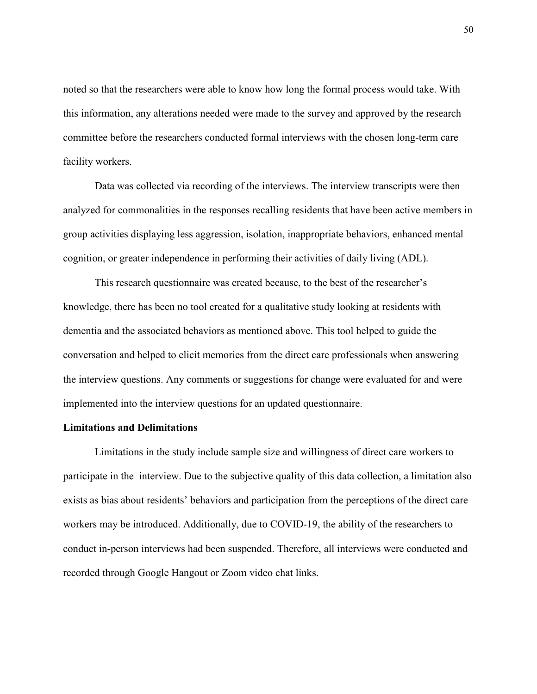noted so that the researchers were able to know how long the formal process would take. With this information, any alterations needed were made to the survey and approved by the research committee before the researchers conducted formal interviews with the chosen long-term care facility workers.

Data was collected via recording of the interviews. The interview transcripts were then analyzed for commonalities in the responses recalling residents that have been active members in group activities displaying less aggression, isolation, inappropriate behaviors, enhanced mental cognition, or greater independence in performing their activities of daily living (ADL).

This research questionnaire was created because, to the best of the researcher's knowledge, there has been no tool created for a qualitative study looking at residents with dementia and the associated behaviors as mentioned above. This tool helped to guide the conversation and helped to elicit memories from the direct care professionals when answering the interview questions. Any comments or suggestions for change were evaluated for and were implemented into the interview questions for an updated questionnaire.

#### **Limitations and Delimitations**

Limitations in the study include sample size and willingness of direct care workers to participate in the interview. Due to the subjective quality of this data collection, a limitation also exists as bias about residents' behaviors and participation from the perceptions of the direct care workers may be introduced. Additionally, due to COVID-19, the ability of the researchers to conduct in-person interviews had been suspended. Therefore, all interviews were conducted and recorded through Google Hangout or Zoom video chat links.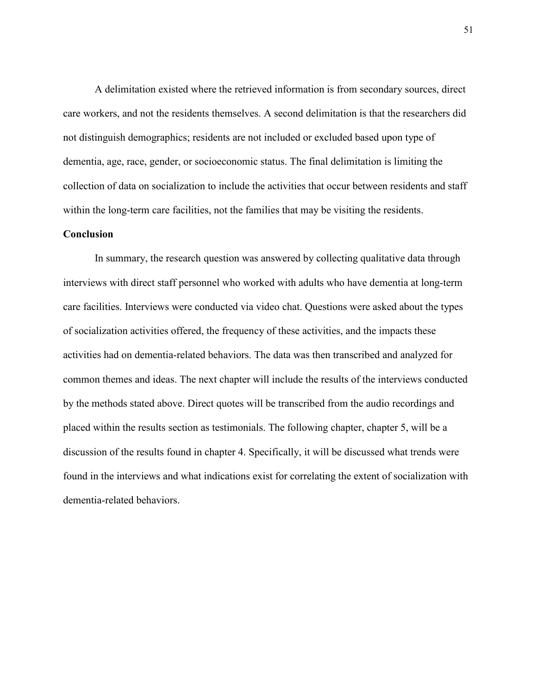A delimitation existed where the retrieved information is from secondary sources, direct care workers, and not the residents themselves. A second delimitation is that the researchers did not distinguish demographics; residents are not included or excluded based upon type of dementia, age, race, gender, or socioeconomic status. The final delimitation is limiting the collection of data on socialization to include the activities that occur between residents and staff within the long-term care facilities, not the families that may be visiting the residents.

## **Conclusion**

In summary, the research question was answered by collecting qualitative data through interviews with direct staff personnel who worked with adults who have dementia at long-term care facilities. Interviews were conducted via video chat. Questions were asked about the types of socialization activities offered, the frequency of these activities, and the impacts these activities had on dementia-related behaviors. The data was then transcribed and analyzed for common themes and ideas. The next chapter will include the results of the interviews conducted by the methods stated above. Direct quotes will be transcribed from the audio recordings and placed within the results section as testimonials. The following chapter, chapter 5, will be a discussion of the results found in chapter 4. Specifically, it will be discussed what trends were found in the interviews and what indications exist for correlating the extent of socialization with dementia-related behaviors.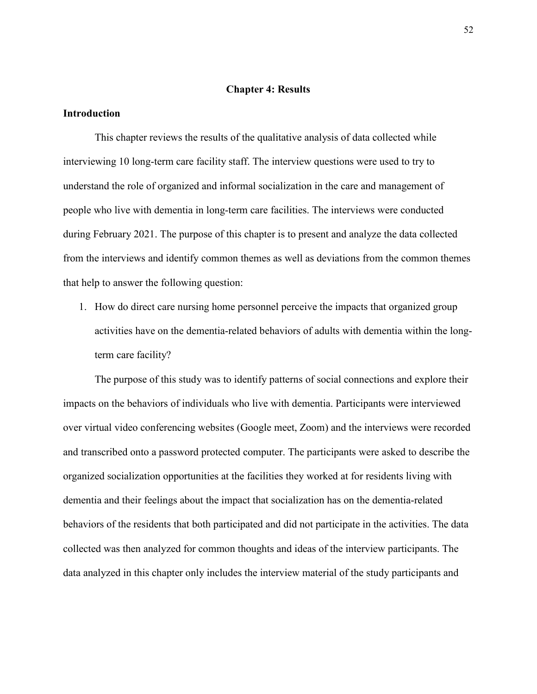## **Chapter 4: Results**

# **Introduction**

This chapter reviews the results of the qualitative analysis of data collected while interviewing 10 long-term care facility staff. The interview questions were used to try to understand the role of organized and informal socialization in the care and management of people who live with dementia in long-term care facilities. The interviews were conducted during February 2021. The purpose of this chapter is to present and analyze the data collected from the interviews and identify common themes as well as deviations from the common themes that help to answer the following question:

1. How do direct care nursing home personnel perceive the impacts that organized group activities have on the dementia-related behaviors of adults with dementia within the longterm care facility?

The purpose of this study was to identify patterns of social connections and explore their impacts on the behaviors of individuals who live with dementia. Participants were interviewed over virtual video conferencing websites (Google meet, Zoom) and the interviews were recorded and transcribed onto a password protected computer. The participants were asked to describe the organized socialization opportunities at the facilities they worked at for residents living with dementia and their feelings about the impact that socialization has on the dementia-related behaviors of the residents that both participated and did not participate in the activities. The data collected was then analyzed for common thoughts and ideas of the interview participants. The data analyzed in this chapter only includes the interview material of the study participants and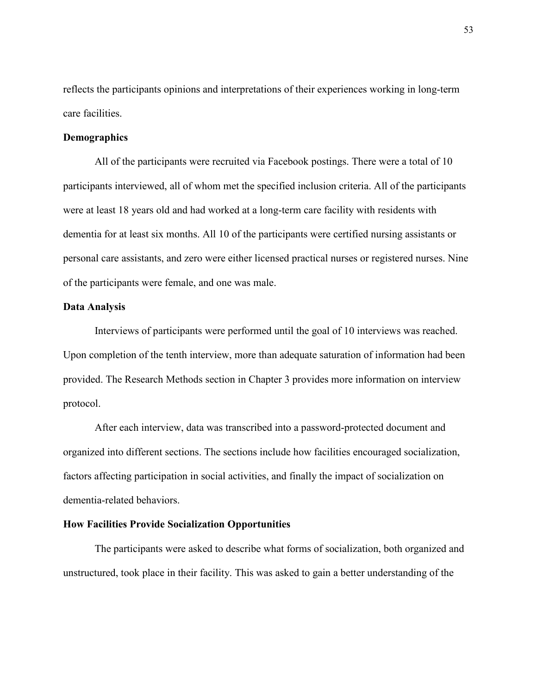reflects the participants opinions and interpretations of their experiences working in long-term care facilities.

# **Demographics**

All of the participants were recruited via Facebook postings. There were a total of 10 participants interviewed, all of whom met the specified inclusion criteria. All of the participants were at least 18 years old and had worked at a long-term care facility with residents with dementia for at least six months. All 10 of the participants were certified nursing assistants or personal care assistants, and zero were either licensed practical nurses or registered nurses. Nine of the participants were female, and one was male.

# **Data Analysis**

Interviews of participants were performed until the goal of 10 interviews was reached. Upon completion of the tenth interview, more than adequate saturation of information had been provided. The Research Methods section in Chapter 3 provides more information on interview protocol.

After each interview, data was transcribed into a password-protected document and organized into different sections. The sections include how facilities encouraged socialization, factors affecting participation in social activities, and finally the impact of socialization on dementia-related behaviors.

#### **How Facilities Provide Socialization Opportunities**

The participants were asked to describe what forms of socialization, both organized and unstructured, took place in their facility. This was asked to gain a better understanding of the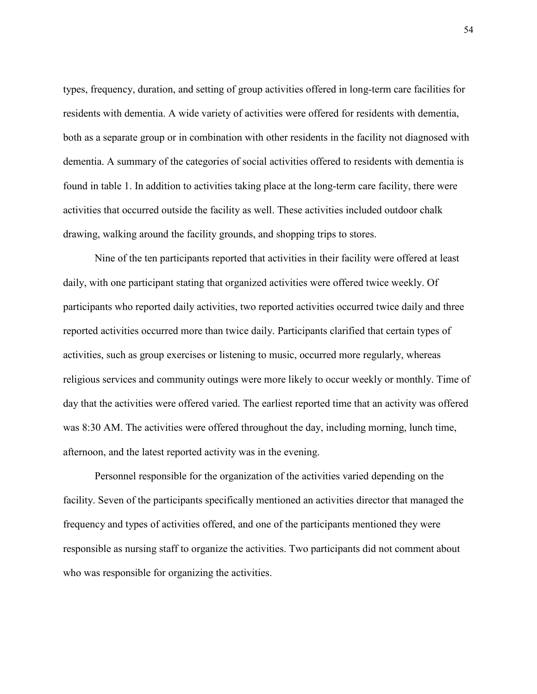types, frequency, duration, and setting of group activities offered in long-term care facilities for residents with dementia. A wide variety of activities were offered for residents with dementia, both as a separate group or in combination with other residents in the facility not diagnosed with dementia. A summary of the categories of social activities offered to residents with dementia is found in table 1. In addition to activities taking place at the long-term care facility, there were activities that occurred outside the facility as well. These activities included outdoor chalk drawing, walking around the facility grounds, and shopping trips to stores.

Nine of the ten participants reported that activities in their facility were offered at least daily, with one participant stating that organized activities were offered twice weekly. Of participants who reported daily activities, two reported activities occurred twice daily and three reported activities occurred more than twice daily. Participants clarified that certain types of activities, such as group exercises or listening to music, occurred more regularly, whereas religious services and community outings were more likely to occur weekly or monthly. Time of day that the activities were offered varied. The earliest reported time that an activity was offered was 8:30 AM. The activities were offered throughout the day, including morning, lunch time, afternoon, and the latest reported activity was in the evening.

Personnel responsible for the organization of the activities varied depending on the facility. Seven of the participants specifically mentioned an activities director that managed the frequency and types of activities offered, and one of the participants mentioned they were responsible as nursing staff to organize the activities. Two participants did not comment about who was responsible for organizing the activities.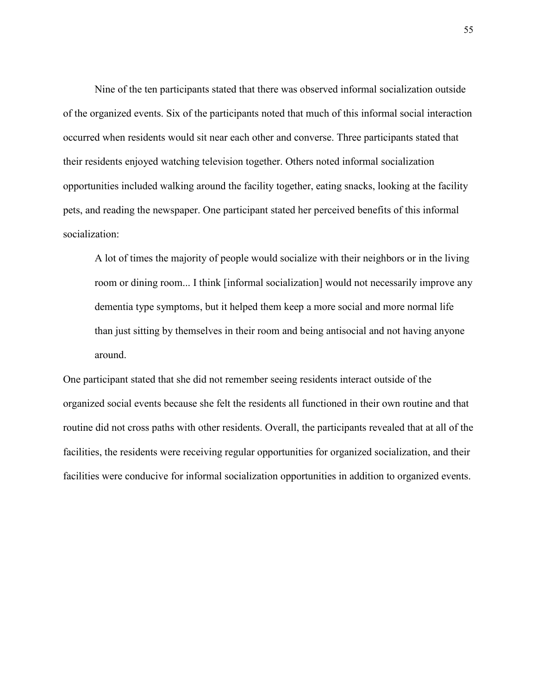Nine of the ten participants stated that there was observed informal socialization outside of the organized events. Six of the participants noted that much of this informal social interaction occurred when residents would sit near each other and converse. Three participants stated that their residents enjoyed watching television together. Others noted informal socialization opportunities included walking around the facility together, eating snacks, looking at the facility pets, and reading the newspaper. One participant stated her perceived benefits of this informal socialization:

A lot of times the majority of people would socialize with their neighbors or in the living room or dining room... I think [informal socialization] would not necessarily improve any dementia type symptoms, but it helped them keep a more social and more normal life than just sitting by themselves in their room and being antisocial and not having anyone around.

One participant stated that she did not remember seeing residents interact outside of the organized social events because she felt the residents all functioned in their own routine and that routine did not cross paths with other residents. Overall, the participants revealed that at all of the facilities, the residents were receiving regular opportunities for organized socialization, and their facilities were conducive for informal socialization opportunities in addition to organized events.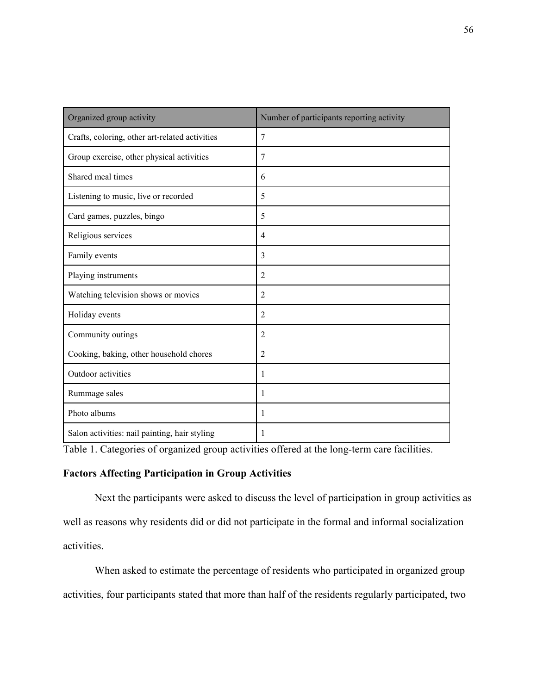| Organized group activity                       | Number of participants reporting activity |
|------------------------------------------------|-------------------------------------------|
| Crafts, coloring, other art-related activities | $\overline{7}$                            |
| Group exercise, other physical activities      | 7                                         |
| Shared meal times                              | 6                                         |
| Listening to music, live or recorded           | 5                                         |
| Card games, puzzles, bingo                     | 5                                         |
| Religious services                             | $\overline{4}$                            |
| Family events                                  | 3                                         |
| Playing instruments                            | 2                                         |
| Watching television shows or movies            | $\overline{2}$                            |
| Holiday events                                 | $\overline{2}$                            |
| Community outings                              | $\overline{2}$                            |
| Cooking, baking, other household chores        | $\overline{2}$                            |
| Outdoor activities                             | 1                                         |
| Rummage sales                                  | 1                                         |
| Photo albums                                   | 1                                         |
| Salon activities: nail painting, hair styling  | 1                                         |

Table 1. Categories of organized group activities offered at the long-term care facilities.

# **Factors Affecting Participation in Group Activities**

Next the participants were asked to discuss the level of participation in group activities as well as reasons why residents did or did not participate in the formal and informal socialization activities.

 When asked to estimate the percentage of residents who participated in organized group activities, four participants stated that more than half of the residents regularly participated, two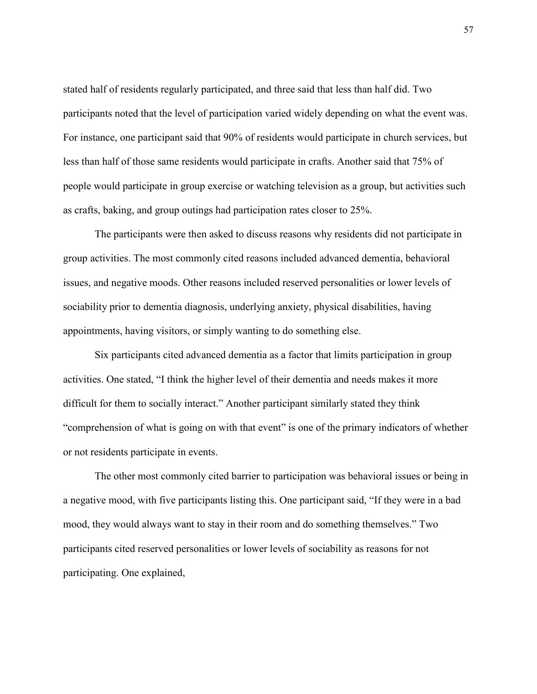stated half of residents regularly participated, and three said that less than half did. Two participants noted that the level of participation varied widely depending on what the event was. For instance, one participant said that 90% of residents would participate in church services, but less than half of those same residents would participate in crafts. Another said that 75% of people would participate in group exercise or watching television as a group, but activities such as crafts, baking, and group outings had participation rates closer to 25%.

The participants were then asked to discuss reasons why residents did not participate in group activities. The most commonly cited reasons included advanced dementia, behavioral issues, and negative moods. Other reasons included reserved personalities or lower levels of sociability prior to dementia diagnosis, underlying anxiety, physical disabilities, having appointments, having visitors, or simply wanting to do something else.

Six participants cited advanced dementia as a factor that limits participation in group activities. One stated, "I think the higher level of their dementia and needs makes it more difficult for them to socially interact." Another participant similarly stated they think "comprehension of what is going on with that event" is one of the primary indicators of whether or not residents participate in events.

The other most commonly cited barrier to participation was behavioral issues or being in a negative mood, with five participants listing this. One participant said, "If they were in a bad mood, they would always want to stay in their room and do something themselves." Two participants cited reserved personalities or lower levels of sociability as reasons for not participating. One explained,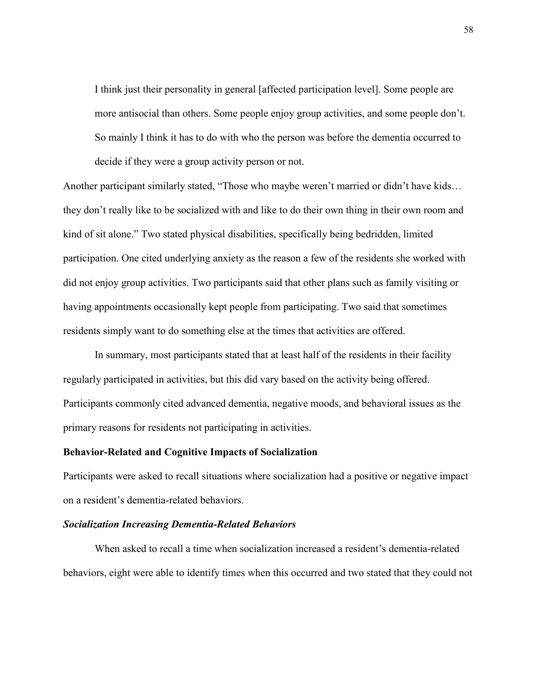I think just their personality in general [affected participation level]. Some people are more antisocial than others. Some people enjoy group activities, and some people don't. So mainly I think it has to do with who the person was before the dementia occurred to decide if they were a group activity person or not.

Another participant similarly stated, "Those who maybe weren't married or didn't have kids… they don't really like to be socialized with and like to do their own thing in their own room and kind of sit alone." Two stated physical disabilities, specifically being bedridden, limited participation. One cited underlying anxiety as the reason a few of the residents she worked with did not enjoy group activities. Two participants said that other plans such as family visiting or having appointments occasionally kept people from participating. Two said that sometimes residents simply want to do something else at the times that activities are offered.

In summary, most participants stated that at least half of the residents in their facility regularly participated in activities, but this did vary based on the activity being offered. Participants commonly cited advanced dementia, negative moods, and behavioral issues as the primary reasons for residents not participating in activities.

# **Behavior-Related and Cognitive Impacts of Socialization**

Participants were asked to recall situations where socialization had a positive or negative impact on a resident's dementia-related behaviors.

#### *Socialization Increasing Dementia-Related Behaviors*

When asked to recall a time when socialization increased a resident's dementia-related behaviors, eight were able to identify times when this occurred and two stated that they could not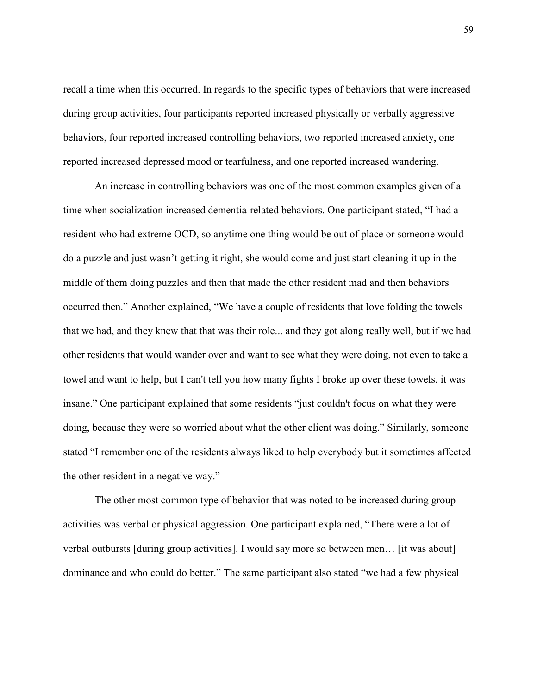recall a time when this occurred. In regards to the specific types of behaviors that were increased during group activities, four participants reported increased physically or verbally aggressive behaviors, four reported increased controlling behaviors, two reported increased anxiety, one reported increased depressed mood or tearfulness, and one reported increased wandering.

An increase in controlling behaviors was one of the most common examples given of a time when socialization increased dementia-related behaviors. One participant stated, "I had a resident who had extreme OCD, so anytime one thing would be out of place or someone would do a puzzle and just wasn't getting it right, she would come and just start cleaning it up in the middle of them doing puzzles and then that made the other resident mad and then behaviors occurred then." Another explained, "We have a couple of residents that love folding the towels that we had, and they knew that that was their role... and they got along really well, but if we had other residents that would wander over and want to see what they were doing, not even to take a towel and want to help, but I can't tell you how many fights I broke up over these towels, it was insane." One participant explained that some residents "just couldn't focus on what they were doing, because they were so worried about what the other client was doing." Similarly, someone stated "I remember one of the residents always liked to help everybody but it sometimes affected the other resident in a negative way."

The other most common type of behavior that was noted to be increased during group activities was verbal or physical aggression. One participant explained, "There were a lot of verbal outbursts [during group activities]. I would say more so between men… [it was about] dominance and who could do better." The same participant also stated "we had a few physical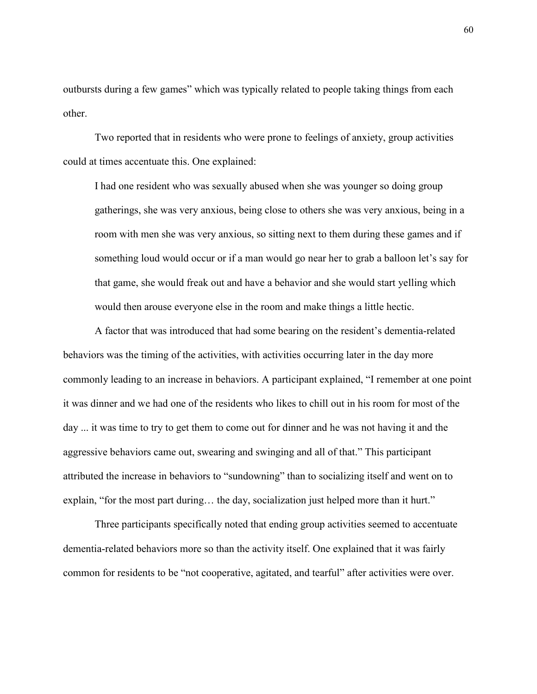outbursts during a few games" which was typically related to people taking things from each other.

Two reported that in residents who were prone to feelings of anxiety, group activities could at times accentuate this. One explained:

I had one resident who was sexually abused when she was younger so doing group gatherings, she was very anxious, being close to others she was very anxious, being in a room with men she was very anxious, so sitting next to them during these games and if something loud would occur or if a man would go near her to grab a balloon let's say for that game, she would freak out and have a behavior and she would start yelling which would then arouse everyone else in the room and make things a little hectic.

A factor that was introduced that had some bearing on the resident's dementia-related behaviors was the timing of the activities, with activities occurring later in the day more commonly leading to an increase in behaviors. A participant explained, "I remember at one point it was dinner and we had one of the residents who likes to chill out in his room for most of the day ... it was time to try to get them to come out for dinner and he was not having it and the aggressive behaviors came out, swearing and swinging and all of that." This participant attributed the increase in behaviors to "sundowning" than to socializing itself and went on to explain, "for the most part during… the day, socialization just helped more than it hurt."

Three participants specifically noted that ending group activities seemed to accentuate dementia-related behaviors more so than the activity itself. One explained that it was fairly common for residents to be "not cooperative, agitated, and tearful" after activities were over.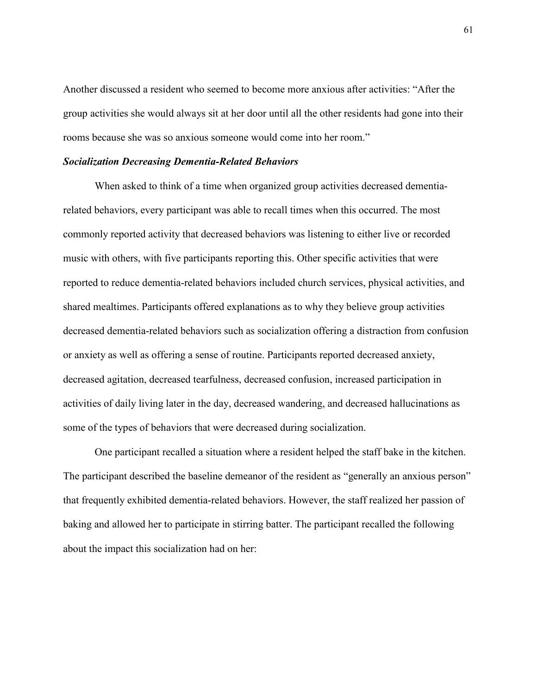Another discussed a resident who seemed to become more anxious after activities: "After the group activities she would always sit at her door until all the other residents had gone into their rooms because she was so anxious someone would come into her room."

#### *Socialization Decreasing Dementia-Related Behaviors*

When asked to think of a time when organized group activities decreased dementiarelated behaviors, every participant was able to recall times when this occurred. The most commonly reported activity that decreased behaviors was listening to either live or recorded music with others, with five participants reporting this. Other specific activities that were reported to reduce dementia-related behaviors included church services, physical activities, and shared mealtimes. Participants offered explanations as to why they believe group activities decreased dementia-related behaviors such as socialization offering a distraction from confusion or anxiety as well as offering a sense of routine. Participants reported decreased anxiety, decreased agitation, decreased tearfulness, decreased confusion, increased participation in activities of daily living later in the day, decreased wandering, and decreased hallucinations as some of the types of behaviors that were decreased during socialization.

One participant recalled a situation where a resident helped the staff bake in the kitchen. The participant described the baseline demeanor of the resident as "generally an anxious person" that frequently exhibited dementia-related behaviors. However, the staff realized her passion of baking and allowed her to participate in stirring batter. The participant recalled the following about the impact this socialization had on her: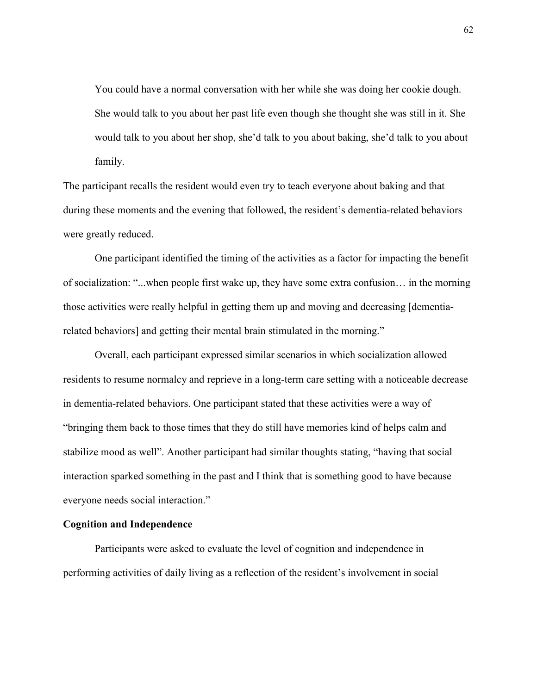You could have a normal conversation with her while she was doing her cookie dough. She would talk to you about her past life even though she thought she was still in it. She would talk to you about her shop, she'd talk to you about baking, she'd talk to you about family.

The participant recalls the resident would even try to teach everyone about baking and that during these moments and the evening that followed, the resident's dementia-related behaviors were greatly reduced.

One participant identified the timing of the activities as a factor for impacting the benefit of socialization: "...when people first wake up, they have some extra confusion… in the morning those activities were really helpful in getting them up and moving and decreasing [dementiarelated behaviors] and getting their mental brain stimulated in the morning."

Overall, each participant expressed similar scenarios in which socialization allowed residents to resume normalcy and reprieve in a long-term care setting with a noticeable decrease in dementia-related behaviors. One participant stated that these activities were a way of "bringing them back to those times that they do still have memories kind of helps calm and stabilize mood as well". Another participant had similar thoughts stating, "having that social interaction sparked something in the past and I think that is something good to have because everyone needs social interaction."

#### **Cognition and Independence**

Participants were asked to evaluate the level of cognition and independence in performing activities of daily living as a reflection of the resident's involvement in social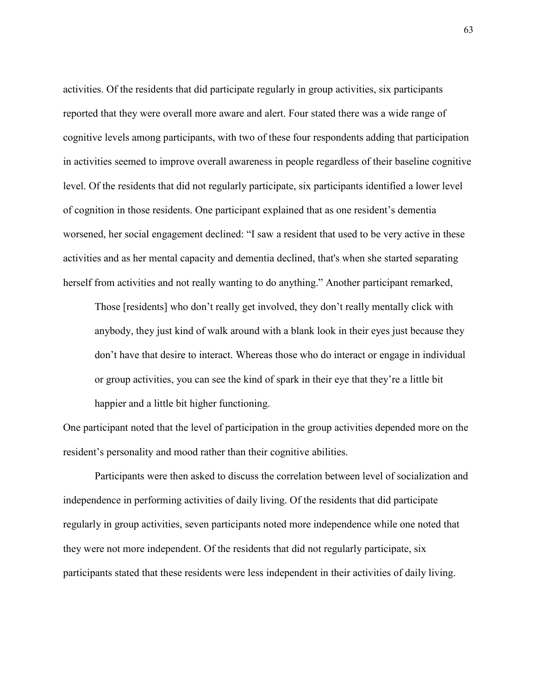activities. Of the residents that did participate regularly in group activities, six participants reported that they were overall more aware and alert. Four stated there was a wide range of cognitive levels among participants, with two of these four respondents adding that participation in activities seemed to improve overall awareness in people regardless of their baseline cognitive level. Of the residents that did not regularly participate, six participants identified a lower level of cognition in those residents. One participant explained that as one resident's dementia worsened, her social engagement declined: "I saw a resident that used to be very active in these activities and as her mental capacity and dementia declined, that's when she started separating herself from activities and not really wanting to do anything." Another participant remarked,

Those [residents] who don't really get involved, they don't really mentally click with anybody, they just kind of walk around with a blank look in their eyes just because they don't have that desire to interact. Whereas those who do interact or engage in individual or group activities, you can see the kind of spark in their eye that they're a little bit happier and a little bit higher functioning.

One participant noted that the level of participation in the group activities depended more on the resident's personality and mood rather than their cognitive abilities.

Participants were then asked to discuss the correlation between level of socialization and independence in performing activities of daily living. Of the residents that did participate regularly in group activities, seven participants noted more independence while one noted that they were not more independent. Of the residents that did not regularly participate, six participants stated that these residents were less independent in their activities of daily living.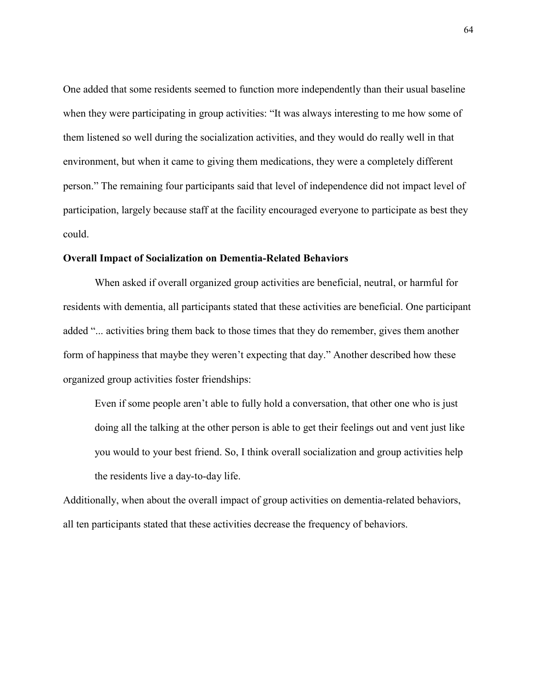One added that some residents seemed to function more independently than their usual baseline when they were participating in group activities: "It was always interesting to me how some of them listened so well during the socialization activities, and they would do really well in that environment, but when it came to giving them medications, they were a completely different person." The remaining four participants said that level of independence did not impact level of participation, largely because staff at the facility encouraged everyone to participate as best they could.

#### **Overall Impact of Socialization on Dementia-Related Behaviors**

When asked if overall organized group activities are beneficial, neutral, or harmful for residents with dementia, all participants stated that these activities are beneficial. One participant added "... activities bring them back to those times that they do remember, gives them another form of happiness that maybe they weren't expecting that day." Another described how these organized group activities foster friendships:

Even if some people aren't able to fully hold a conversation, that other one who is just doing all the talking at the other person is able to get their feelings out and vent just like you would to your best friend. So, I think overall socialization and group activities help the residents live a day-to-day life.

Additionally, when about the overall impact of group activities on dementia-related behaviors, all ten participants stated that these activities decrease the frequency of behaviors.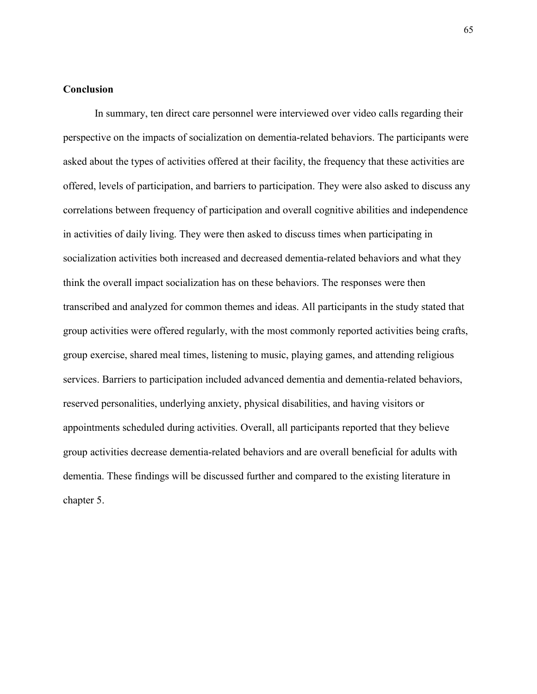# **Conclusion**

In summary, ten direct care personnel were interviewed over video calls regarding their perspective on the impacts of socialization on dementia-related behaviors. The participants were asked about the types of activities offered at their facility, the frequency that these activities are offered, levels of participation, and barriers to participation. They were also asked to discuss any correlations between frequency of participation and overall cognitive abilities and independence in activities of daily living. They were then asked to discuss times when participating in socialization activities both increased and decreased dementia-related behaviors and what they think the overall impact socialization has on these behaviors. The responses were then transcribed and analyzed for common themes and ideas. All participants in the study stated that group activities were offered regularly, with the most commonly reported activities being crafts, group exercise, shared meal times, listening to music, playing games, and attending religious services. Barriers to participation included advanced dementia and dementia-related behaviors, reserved personalities, underlying anxiety, physical disabilities, and having visitors or appointments scheduled during activities. Overall, all participants reported that they believe group activities decrease dementia-related behaviors and are overall beneficial for adults with dementia. These findings will be discussed further and compared to the existing literature in chapter 5.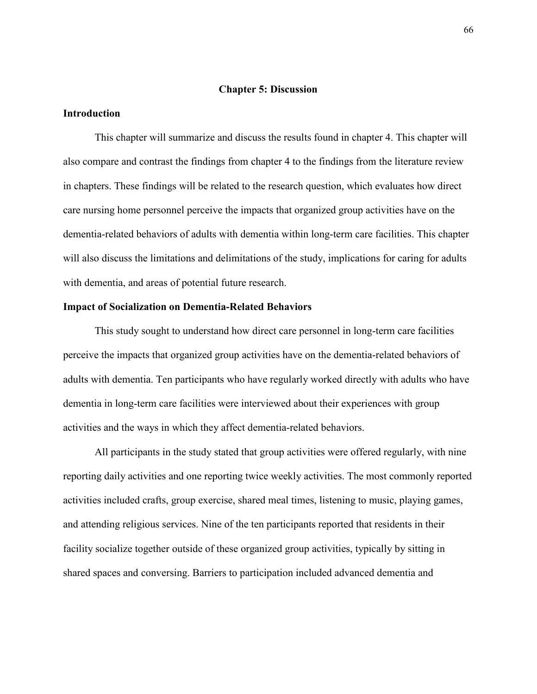## **Chapter 5: Discussion**

## **Introduction**

This chapter will summarize and discuss the results found in chapter 4. This chapter will also compare and contrast the findings from chapter 4 to the findings from the literature review in chapters. These findings will be related to the research question, which evaluates how direct care nursing home personnel perceive the impacts that organized group activities have on the dementia-related behaviors of adults with dementia within long-term care facilities. This chapter will also discuss the limitations and delimitations of the study, implications for caring for adults with dementia, and areas of potential future research.

# **Impact of Socialization on Dementia-Related Behaviors**

This study sought to understand how direct care personnel in long-term care facilities perceive the impacts that organized group activities have on the dementia-related behaviors of adults with dementia. Ten participants who have regularly worked directly with adults who have dementia in long-term care facilities were interviewed about their experiences with group activities and the ways in which they affect dementia-related behaviors.

All participants in the study stated that group activities were offered regularly, with nine reporting daily activities and one reporting twice weekly activities. The most commonly reported activities included crafts, group exercise, shared meal times, listening to music, playing games, and attending religious services. Nine of the ten participants reported that residents in their facility socialize together outside of these organized group activities, typically by sitting in shared spaces and conversing. Barriers to participation included advanced dementia and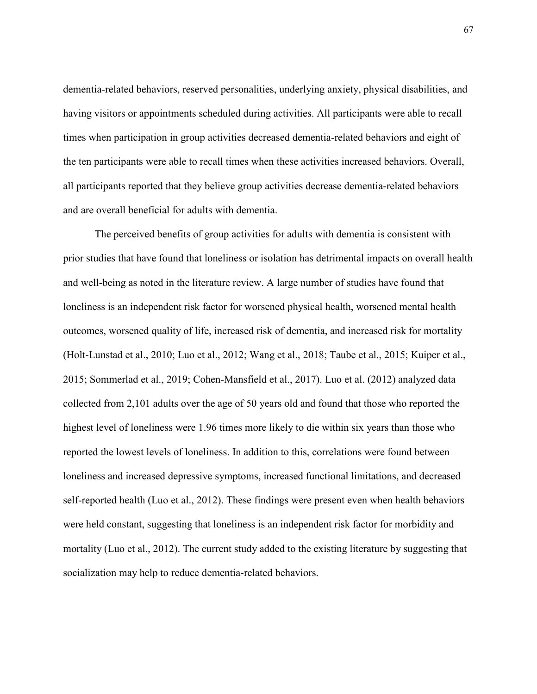dementia-related behaviors, reserved personalities, underlying anxiety, physical disabilities, and having visitors or appointments scheduled during activities. All participants were able to recall times when participation in group activities decreased dementia-related behaviors and eight of the ten participants were able to recall times when these activities increased behaviors. Overall, all participants reported that they believe group activities decrease dementia-related behaviors and are overall beneficial for adults with dementia.

The perceived benefits of group activities for adults with dementia is consistent with prior studies that have found that loneliness or isolation has detrimental impacts on overall health and well-being as noted in the literature review. A large number of studies have found that loneliness is an independent risk factor for worsened physical health, worsened mental health outcomes, worsened quality of life, increased risk of dementia, and increased risk for mortality (Holt-Lunstad et al., 2010; Luo et al., 2012; Wang et al., 2018; Taube et al., 2015; Kuiper et al., 2015; Sommerlad et al., 2019; Cohen-Mansfield et al., 2017). Luo et al. (2012) analyzed data collected from 2,101 adults over the age of 50 years old and found that those who reported the highest level of loneliness were 1.96 times more likely to die within six years than those who reported the lowest levels of loneliness. In addition to this, correlations were found between loneliness and increased depressive symptoms, increased functional limitations, and decreased self-reported health (Luo et al., 2012). These findings were present even when health behaviors were held constant, suggesting that loneliness is an independent risk factor for morbidity and mortality (Luo et al., 2012). The current study added to the existing literature by suggesting that socialization may help to reduce dementia-related behaviors.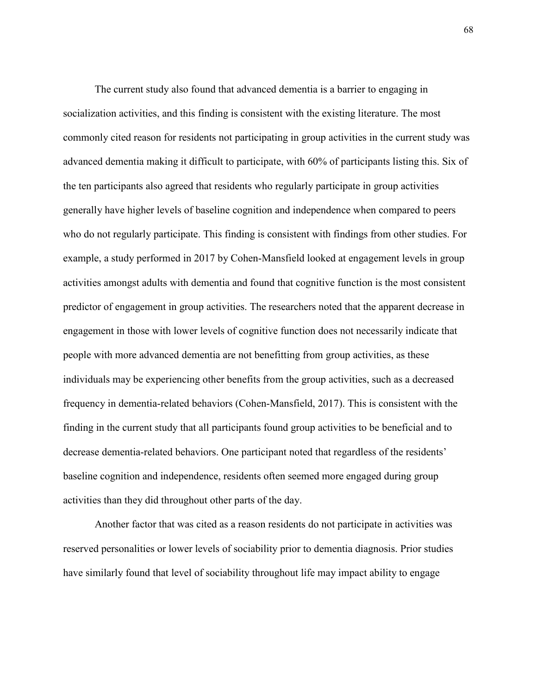The current study also found that advanced dementia is a barrier to engaging in socialization activities, and this finding is consistent with the existing literature. The most commonly cited reason for residents not participating in group activities in the current study was advanced dementia making it difficult to participate, with 60% of participants listing this. Six of the ten participants also agreed that residents who regularly participate in group activities generally have higher levels of baseline cognition and independence when compared to peers who do not regularly participate. This finding is consistent with findings from other studies. For example, a study performed in 2017 by Cohen-Mansfield looked at engagement levels in group activities amongst adults with dementia and found that cognitive function is the most consistent predictor of engagement in group activities. The researchers noted that the apparent decrease in engagement in those with lower levels of cognitive function does not necessarily indicate that people with more advanced dementia are not benefitting from group activities, as these individuals may be experiencing other benefits from the group activities, such as a decreased frequency in dementia-related behaviors (Cohen-Mansfield, 2017). This is consistent with the finding in the current study that all participants found group activities to be beneficial and to decrease dementia-related behaviors. One participant noted that regardless of the residents' baseline cognition and independence, residents often seemed more engaged during group activities than they did throughout other parts of the day.

Another factor that was cited as a reason residents do not participate in activities was reserved personalities or lower levels of sociability prior to dementia diagnosis. Prior studies have similarly found that level of sociability throughout life may impact ability to engage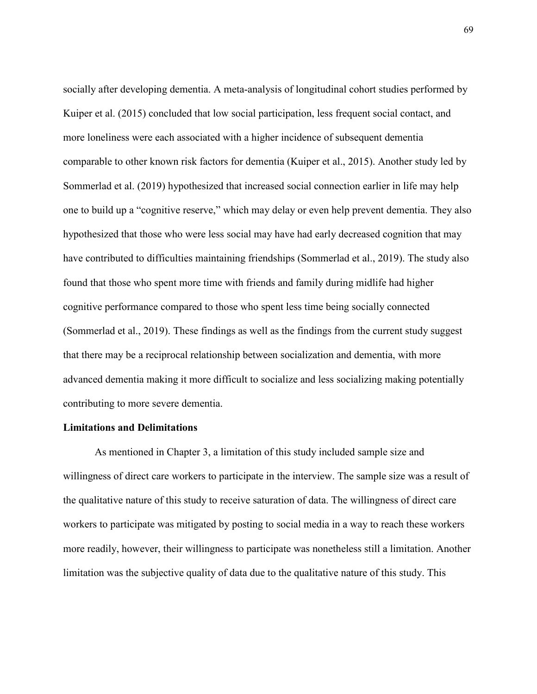socially after developing dementia. A meta-analysis of longitudinal cohort studies performed by Kuiper et al. (2015) concluded that low social participation, less frequent social contact, and more loneliness were each associated with a higher incidence of subsequent dementia comparable to other known risk factors for dementia (Kuiper et al., 2015). Another study led by Sommerlad et al. (2019) hypothesized that increased social connection earlier in life may help one to build up a "cognitive reserve," which may delay or even help prevent dementia. They also hypothesized that those who were less social may have had early decreased cognition that may have contributed to difficulties maintaining friendships (Sommerlad et al., 2019). The study also found that those who spent more time with friends and family during midlife had higher cognitive performance compared to those who spent less time being socially connected (Sommerlad et al., 2019). These findings as well as the findings from the current study suggest that there may be a reciprocal relationship between socialization and dementia, with more advanced dementia making it more difficult to socialize and less socializing making potentially contributing to more severe dementia.

#### **Limitations and Delimitations**

As mentioned in Chapter 3, a limitation of this study included sample size and willingness of direct care workers to participate in the interview. The sample size was a result of the qualitative nature of this study to receive saturation of data. The willingness of direct care workers to participate was mitigated by posting to social media in a way to reach these workers more readily, however, their willingness to participate was nonetheless still a limitation. Another limitation was the subjective quality of data due to the qualitative nature of this study. This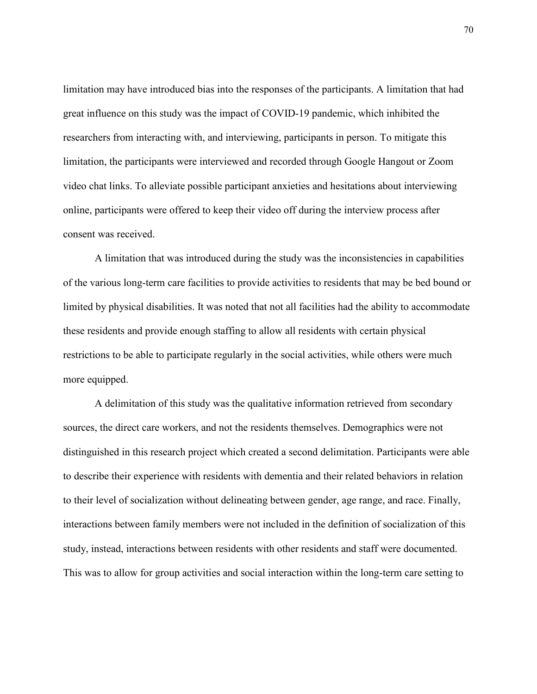limitation may have introduced bias into the responses of the participants. A limitation that had great influence on this study was the impact of COVID-19 pandemic, which inhibited the researchers from interacting with, and interviewing, participants in person. To mitigate this limitation, the participants were interviewed and recorded through Google Hangout or Zoom video chat links. To alleviate possible participant anxieties and hesitations about interviewing online, participants were offered to keep their video off during the interview process after consent was received.

A limitation that was introduced during the study was the inconsistencies in capabilities of the various long-term care facilities to provide activities to residents that may be bed bound or limited by physical disabilities. It was noted that not all facilities had the ability to accommodate these residents and provide enough staffing to allow all residents with certain physical restrictions to be able to participate regularly in the social activities, while others were much more equipped.

A delimitation of this study was the qualitative information retrieved from secondary sources, the direct care workers, and not the residents themselves. Demographics were not distinguished in this research project which created a second delimitation. Participants were able to describe their experience with residents with dementia and their related behaviors in relation to their level of socialization without delineating between gender, age range, and race. Finally, interactions between family members were not included in the definition of socialization of this study, instead, interactions between residents with other residents and staff were documented. This was to allow for group activities and social interaction within the long-term care setting to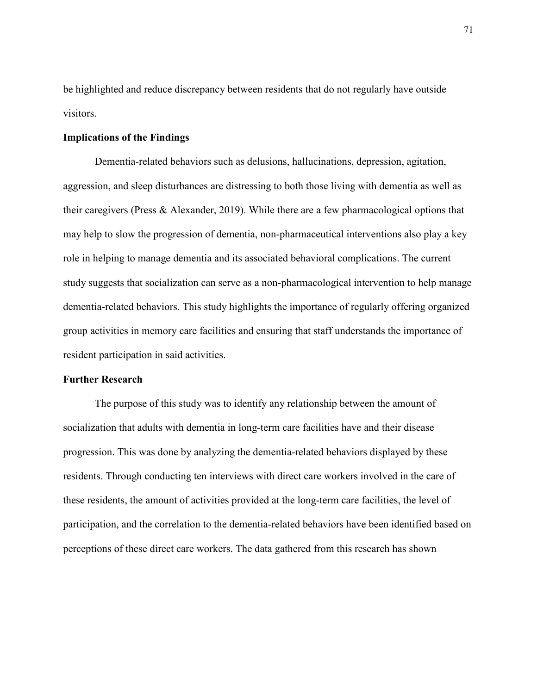be highlighted and reduce discrepancy between residents that do not regularly have outside visitors.

# **Implications of the Findings**

Dementia-related behaviors such as delusions, hallucinations, depression, agitation, aggression, and sleep disturbances are distressing to both those living with dementia as well as their caregivers (Press & Alexander, 2019). While there are a few pharmacological options that may help to slow the progression of dementia, non-pharmaceutical interventions also play a key role in helping to manage dementia and its associated behavioral complications. The current study suggests that socialization can serve as a non-pharmacological intervention to help manage dementia-related behaviors. This study highlights the importance of regularly offering organized group activities in memory care facilities and ensuring that staff understands the importance of resident participation in said activities.

# **Further Research**

The purpose of this study was to identify any relationship between the amount of socialization that adults with dementia in long-term care facilities have and their disease progression. This was done by analyzing the dementia-related behaviors displayed by these residents. Through conducting ten interviews with direct care workers involved in the care of these residents, the amount of activities provided at the long-term care facilities, the level of participation, and the correlation to the dementia-related behaviors have been identified based on perceptions of these direct care workers. The data gathered from this research has shown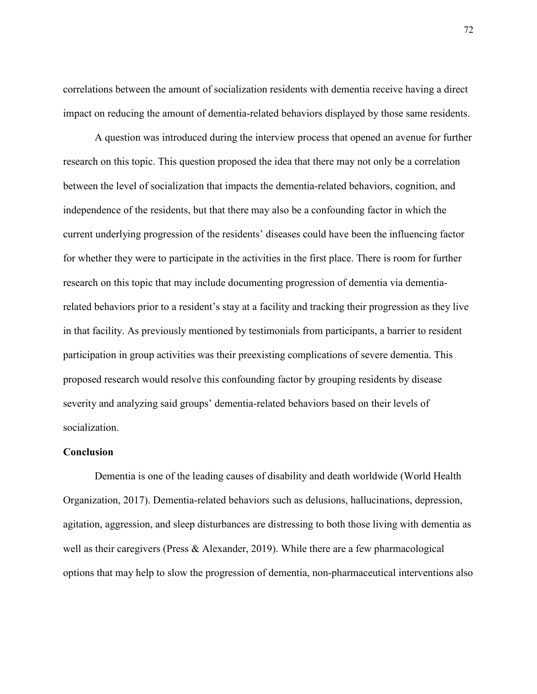correlations between the amount of socialization residents with dementia receive having a direct impact on reducing the amount of dementia-related behaviors displayed by those same residents.

A question was introduced during the interview process that opened an avenue for further research on this topic. This question proposed the idea that there may not only be a correlation between the level of socialization that impacts the dementia-related behaviors, cognition, and independence of the residents, but that there may also be a confounding factor in which the current underlying progression of the residents' diseases could have been the influencing factor for whether they were to participate in the activities in the first place. There is room for further research on this topic that may include documenting progression of dementia via dementiarelated behaviors prior to a resident's stay at a facility and tracking their progression as they live in that facility. As previously mentioned by testimonials from participants, a barrier to resident participation in group activities was their preexisting complications of severe dementia. This proposed research would resolve this confounding factor by grouping residents by disease severity and analyzing said groups' dementia-related behaviors based on their levels of socialization.

# **Conclusion**

Dementia is one of the leading causes of disability and death worldwide (World Health Organization, 2017). Dementia-related behaviors such as delusions, hallucinations, depression, agitation, aggression, and sleep disturbances are distressing to both those living with dementia as well as their caregivers (Press & Alexander, 2019). While there are a few pharmacological options that may help to slow the progression of dementia, non-pharmaceutical interventions also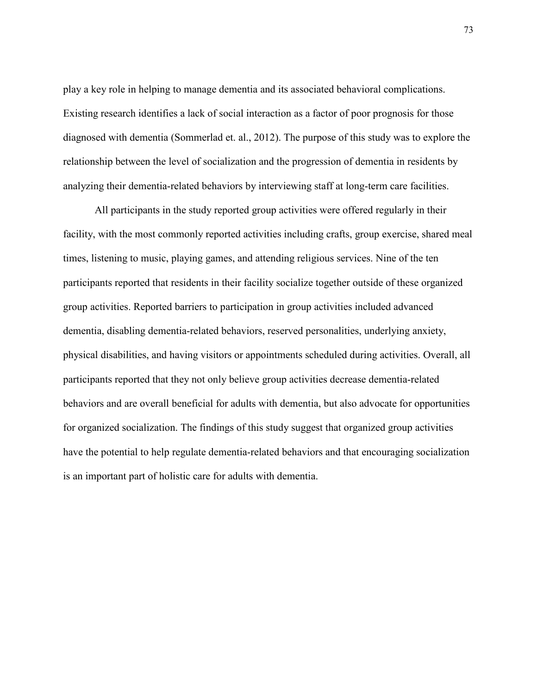play a key role in helping to manage dementia and its associated behavioral complications. Existing research identifies a lack of social interaction as a factor of poor prognosis for those diagnosed with dementia (Sommerlad et. al., 2012). The purpose of this study was to explore the relationship between the level of socialization and the progression of dementia in residents by analyzing their dementia-related behaviors by interviewing staff at long-term care facilities.

All participants in the study reported group activities were offered regularly in their facility, with the most commonly reported activities including crafts, group exercise, shared meal times, listening to music, playing games, and attending religious services. Nine of the ten participants reported that residents in their facility socialize together outside of these organized group activities. Reported barriers to participation in group activities included advanced dementia, disabling dementia-related behaviors, reserved personalities, underlying anxiety, physical disabilities, and having visitors or appointments scheduled during activities. Overall, all participants reported that they not only believe group activities decrease dementia-related behaviors and are overall beneficial for adults with dementia, but also advocate for opportunities for organized socialization. The findings of this study suggest that organized group activities have the potential to help regulate dementia-related behaviors and that encouraging socialization is an important part of holistic care for adults with dementia.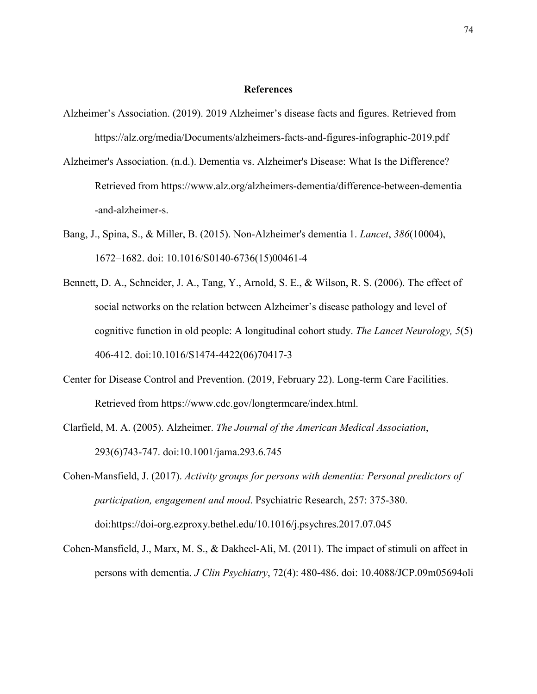#### **References**

- Alzheimer's Association. (2019). 2019 Alzheimer's disease facts and figures. Retrieved from https://alz.org/media/Documents/alzheimers-facts-and-figures-infographic-2019.pdf
- Alzheimer's Association. (n.d.). Dementia vs. Alzheimer's Disease: What Is the Difference? Retrieved from https://www.alz.org/alzheimers-dementia/difference-between-dementia -and-alzheimer-s.
- Bang, J., Spina, S., & Miller, B. (2015). Non-Alzheimer's dementia 1. *Lancet*, *386*(10004), 1672–1682. doi: 10.1016/S0140-6736(15)00461-4
- Bennett, D. A., Schneider, J. A., Tang, Y., Arnold, S. E., & Wilson, R. S. (2006). The effect of social networks on the relation between Alzheimer's disease pathology and level of cognitive function in old people: A longitudinal cohort study. *The Lancet Neurology, 5*(5) 406-412. doi:10.1016/S1474-4422(06)70417-3
- Center for Disease Control and Prevention. (2019, February 22). Long-term Care Facilities. Retrieved from https://www.cdc.gov/longtermcare/index.html.
- Clarfield, M. A. (2005). Alzheimer. *The Journal of the American Medical Association*, 293(6)743-747. doi:10.1001/jama.293.6.745
- Cohen-Mansfield, J. (2017). *Activity groups for persons with dementia: Personal predictors of participation, engagement and mood*. Psychiatric Research, 257: 375-380. doi:https://doi-org.ezproxy.bethel.edu/10.1016/j.psychres.2017.07.045
- Cohen-Mansfield, J., Marx, M. S., & Dakheel-Ali, M. (2011). The impact of stimuli on affect in persons with dementia. *J Clin Psychiatry*, 72(4): 480-486. doi: 10.4088/JCP.09m05694oli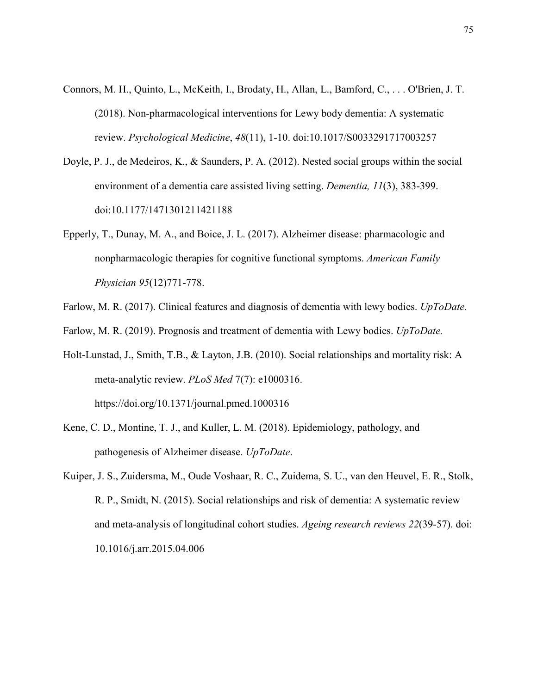- Connors, M. H., Quinto, L., McKeith, I., Brodaty, H., Allan, L., Bamford, C., . . . O'Brien, J. T. (2018). Non-pharmacological interventions for Lewy body dementia: A systematic review. *Psychological Medicine*, *48*(11), 1-10. doi:10.1017/S0033291717003257
- Doyle, P. J., de Medeiros, K., & Saunders, P. A. (2012). Nested social groups within the social environment of a dementia care assisted living setting. *Dementia, 11*(3), 383-399. doi:10.1177/1471301211421188
- Epperly, T., Dunay, M. A., and Boice, J. L. (2017). Alzheimer disease: pharmacologic and nonpharmacologic therapies for cognitive functional symptoms. *American Family Physician 95*(12)771-778.
- Farlow, M. R. (2017). Clinical features and diagnosis of dementia with lewy bodies. *UpToDate.*
- Farlow, M. R. (2019). Prognosis and treatment of dementia with Lewy bodies. *UpToDate.*
- Holt-Lunstad, J., Smith, T.B., & Layton, J.B. (2010). Social relationships and mortality risk: A meta-analytic review. *PLoS Med* 7(7): e1000316. <https://doi.org/10.1371/journal.pmed.1000316>
- Kene, C. D., Montine, T. J., and Kuller, L. M. (2018). Epidemiology, pathology, and pathogenesis of Alzheimer disease. *UpToDate*.
- Kuiper, J. S., Zuidersma, M., Oude Voshaar, R. C., Zuidema, S. U., van den Heuvel, E. R., Stolk, R. P., Smidt, N. (2015). Social relationships and risk of dementia: A systematic review and meta-analysis of longitudinal cohort studies. *Ageing research reviews 22*(39-57). doi: 10.1016/j.arr.2015.04.006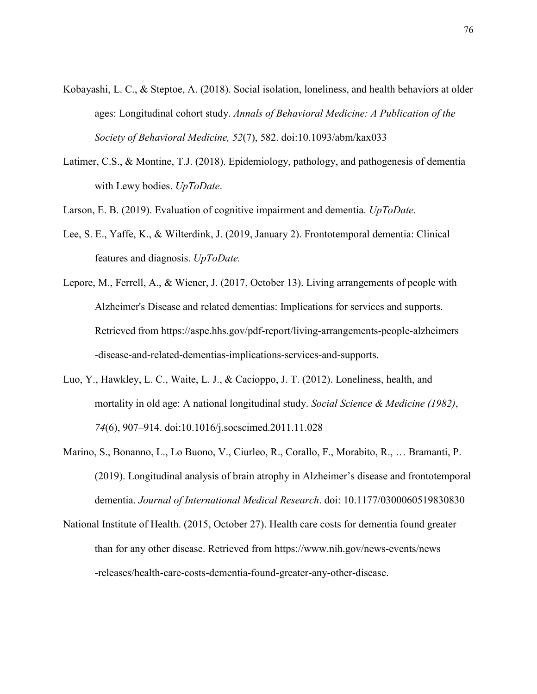- Kobayashi, L. C., & Steptoe, A. (2018). Social isolation, loneliness, and health behaviors at older ages: Longitudinal cohort study. *Annals of Behavioral Medicine: A Publication of the Society of Behavioral Medicine, 52*(7), 582. doi:10.1093/abm/kax033
- Latimer, C.S., & Montine, T.J. (2018). Epidemiology, pathology, and pathogenesis of dementia with Lewy bodies. *UpToDate*.
- Larson, E. B. (2019). Evaluation of cognitive impairment and dementia. *UpToDate*.
- Lee, S. E., Yaffe, K., & Wilterdink, J. (2019, January 2). Frontotemporal dementia: Clinical features and diagnosis. *UpToDate.*
- Lepore, M., Ferrell, A., & Wiener, J. (2017, October 13). Living arrangements of people with Alzheimer's Disease and related dementias: Implications for services and supports. Retrieved from https://aspe.hhs.gov/pdf-report/living-arrangements-people-alzheimers -disease-and-related-dementias-implications-services-and-supports.
- Luo, Y., Hawkley, L. C., Waite, L. J., & Cacioppo, J. T. (2012). Loneliness, health, and mortality in old age: A national longitudinal study. *Social Science & Medicine (1982)*, *74*(6), 907–914. doi:10.1016/j.socscimed.2011.11.028
- Marino, S., Bonanno, L., Lo Buono, V., Ciurleo, R., Corallo, F., Morabito, R., … Bramanti, P. (2019). Longitudinal analysis of brain atrophy in Alzheimer's disease and frontotemporal dementia. *Journal of International Medical Research*. doi: 10.1177/0300060519830830
- National Institute of Health. (2015, October 27). Health care costs for dementia found greater than for any other disease. Retrieved from https://www.nih.gov/news-events/news -releases/health-care-costs-dementia-found-greater-any-other-disease.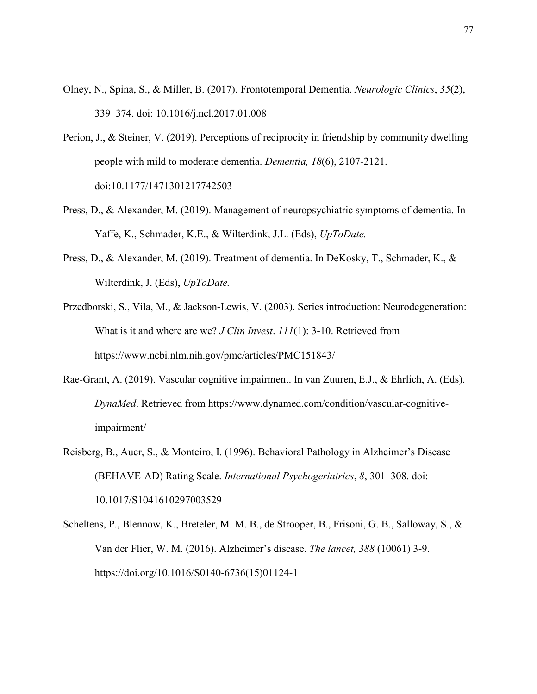- Olney, N., Spina, S., & Miller, B. (2017). Frontotemporal Dementia. *Neurologic Clinics*, *35*(2), 339–374. doi: 10.1016/j.ncl.2017.01.008
- Perion, J., & Steiner, V. (2019). Perceptions of reciprocity in friendship by community dwelling people with mild to moderate dementia. *Dementia, 18*(6), 2107-2121. doi:10.1177/1471301217742503
- Press, D., & Alexander, M. (2019). Management of neuropsychiatric symptoms of dementia. In Yaffe, K., Schmader, K.E., & Wilterdink, J.L. (Eds), *UpToDate.*
- Press, D., & Alexander, M. (2019). Treatment of dementia. In DeKosky, T., Schmader, K., & Wilterdink, J. (Eds), *UpToDate.*
- Przedborski, S., Vila, M., & Jackson-Lewis, V. (2003). Series introduction: Neurodegeneration: What is it and where are we? *J Clin Invest*. *111*(1): 3-10. Retrieved from https://www.ncbi.nlm.nih.gov/pmc/articles/PMC151843/
- Rae-Grant, A. (2019). Vascular cognitive impairment. In van Zuuren, E.J., & Ehrlich, A. (Eds). *DynaMed*. Retrieved from https://www.dynamed.com/condition/vascular-cognitiveimpairment/
- Reisberg, B., Auer, S., & Monteiro, I. (1996). Behavioral Pathology in Alzheimer's Disease (BEHAVE-AD) Rating Scale. *International Psychogeriatrics*, *8*, 301–308. doi: 10.1017/S1041610297003529
- Scheltens, P., Blennow, K., Breteler, M. M. B., de Strooper, B., Frisoni, G. B., Salloway, S., & Van der Flier, W. M. (2016). Alzheimer's disease. *The lancet, 388* (10061) 3-9. https://doi.org/10.1016/S0140-6736(15)01124-1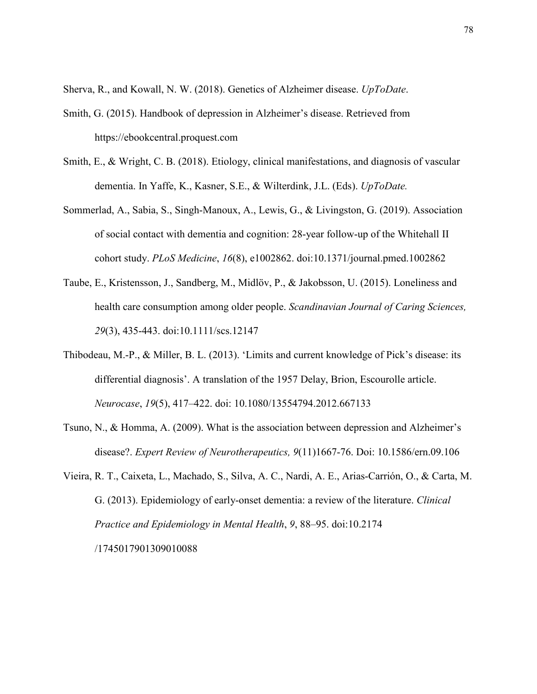Sherva, R., and Kowall, N. W. (2018). Genetics of Alzheimer disease. *UpToDate*.

- Smith, G. (2015). Handbook of depression in Alzheimer's disease. Retrieved from https://ebookcentral.proquest.com
- Smith, E., & Wright, C. B. (2018). Etiology, clinical manifestations, and diagnosis of vascular dementia. In Yaffe, K., Kasner, S.E., & Wilterdink, J.L. (Eds). *UpToDate.*
- Sommerlad, A., Sabia, S., Singh-Manoux, A., Lewis, G., & Livingston, G. (2019). Association of social contact with dementia and cognition: 28-year follow-up of the Whitehall II cohort study. *PLoS Medicine*, *16*(8), e1002862. doi:10.1371/journal.pmed.1002862
- Taube, E., Kristensson, J., Sandberg, M., Midlöv, P., & Jakobsson, U. (2015). Loneliness and health care consumption among older people. *Scandinavian Journal of Caring Sciences, 29*(3), 435-443. doi:10.1111/scs.12147
- Thibodeau, M.-P., & Miller, B. L. (2013). 'Limits and current knowledge of Pick's disease: its differential diagnosis'. A translation of the 1957 Delay, Brion, Escourolle article. *Neurocase*, *19*(5), 417–422. doi: 10.1080/13554794.2012.667133
- Tsuno, N., & Homma, A. (2009). What is the association between depression and Alzheimer's disease?. *Expert Review of Neurotherapeutics, 9*(11)1667-76. Doi: 10.1586/ern.09.106
- Vieira, R. T., Caixeta, L., Machado, S., Silva, A. C., Nardi, A. E., Arias-Carrión, O., & Carta, M. G. (2013). Epidemiology of early-onset dementia: a review of the literature. *Clinical Practice and Epidemiology in Mental Health*, *9*, 88–95. doi:10.2174 /1745017901309010088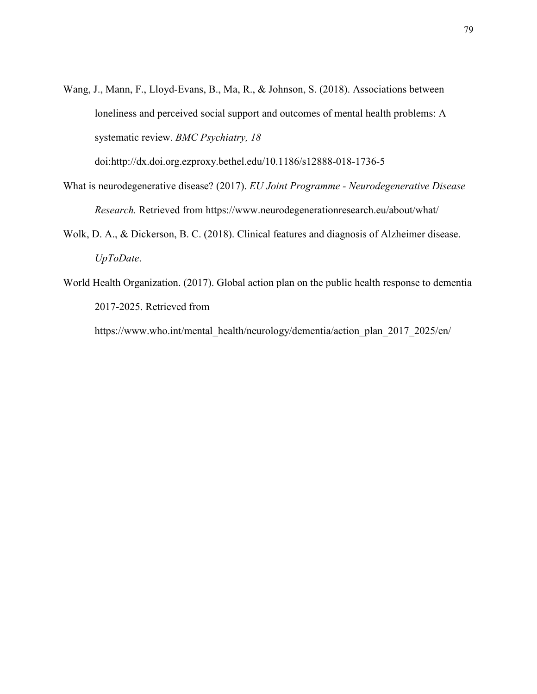Wang, J., Mann, F., Lloyd-Evans, B., Ma, R., & Johnson, S. (2018). Associations between loneliness and perceived social support and outcomes of mental health problems: A systematic review. *BMC Psychiatry, 18*

doi:http://dx.doi.org.ezproxy.bethel.edu/10.1186/s12888-018-1736-5

- What is neurodegenerative disease? (2017). *EU Joint Programme Neurodegenerative Disease Research.* Retrieved from https://www.neurodegenerationresearch.eu/about/what/
- Wolk, D. A., & Dickerson, B. C. (2018). Clinical features and diagnosis of Alzheimer disease. *UpToDate*.
- World Health Organization. (2017). Global action plan on the public health response to dementia 2017-2025. Retrieved from

https://www.who.int/mental\_health/neurology/dementia/action\_plan\_2017\_2025/en/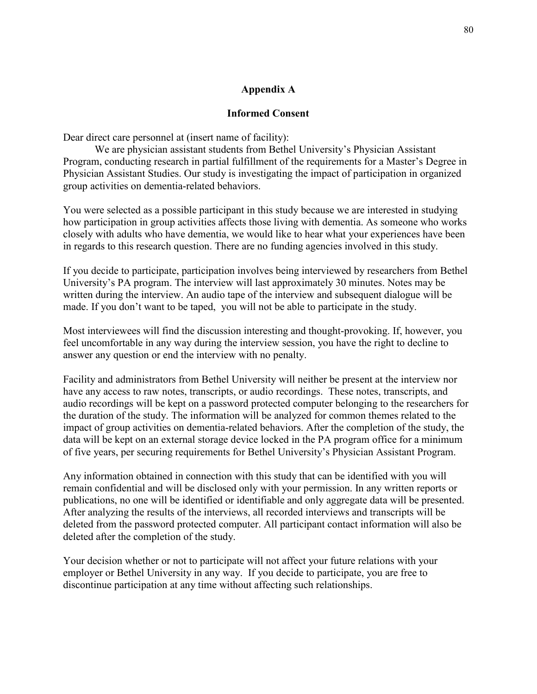# **Appendix A**

# **Informed Consent**

Dear direct care personnel at (insert name of facility):

We are physician assistant students from Bethel University's Physician Assistant Program, conducting research in partial fulfillment of the requirements for a Master's Degree in Physician Assistant Studies. Our study is investigating the impact of participation in organized group activities on dementia-related behaviors.

You were selected as a possible participant in this study because we are interested in studying how participation in group activities affects those living with dementia. As someone who works closely with adults who have dementia, we would like to hear what your experiences have been in regards to this research question. There are no funding agencies involved in this study.

If you decide to participate, participation involves being interviewed by researchers from Bethel University's PA program. The interview will last approximately 30 minutes. Notes may be written during the interview. An audio tape of the interview and subsequent dialogue will be made. If you don't want to be taped, you will not be able to participate in the study.

Most interviewees will find the discussion interesting and thought-provoking. If, however, you feel uncomfortable in any way during the interview session, you have the right to decline to answer any question or end the interview with no penalty.

Facility and administrators from Bethel University will neither be present at the interview nor have any access to raw notes, transcripts, or audio recordings. These notes, transcripts, and audio recordings will be kept on a password protected computer belonging to the researchers for the duration of the study. The information will be analyzed for common themes related to the impact of group activities on dementia-related behaviors. After the completion of the study, the data will be kept on an external storage device locked in the PA program office for a minimum of five years, per securing requirements for Bethel University's Physician Assistant Program.

Any information obtained in connection with this study that can be identified with you will remain confidential and will be disclosed only with your permission. In any written reports or publications, no one will be identified or identifiable and only aggregate data will be presented. After analyzing the results of the interviews, all recorded interviews and transcripts will be deleted from the password protected computer. All participant contact information will also be deleted after the completion of the study.

Your decision whether or not to participate will not affect your future relations with your employer or Bethel University in any way. If you decide to participate, you are free to discontinue participation at any time without affecting such relationships.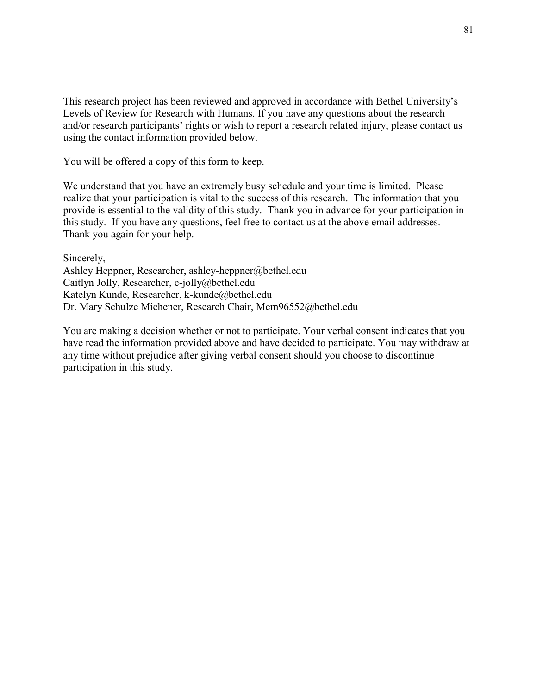This research project has been reviewed and approved in accordance with Bethel University's Levels of Review for Research with Humans. If you have any questions about the research and/or research participants' rights or wish to report a research related injury, please contact us using the contact information provided below.

You will be offered a copy of this form to keep.

We understand that you have an extremely busy schedule and your time is limited. Please realize that your participation is vital to the success of this research. The information that you provide is essential to the validity of this study. Thank you in advance for your participation in this study. If you have any questions, feel free to contact us at the above email addresses. Thank you again for your help.

Sincerely, Ashley Heppner, Researcher, ashley-heppner@bethel.edu Caitlyn Jolly, Researcher, c-jolly@bethel.edu Katelyn Kunde, Researcher, k-kunde@bethel.edu Dr. Mary Schulze Michener, Research Chair, Mem96552@bethel.edu

You are making a decision whether or not to participate. Your verbal consent indicates that you have read the information provided above and have decided to participate. You may withdraw at any time without prejudice after giving verbal consent should you choose to discontinue participation in this study.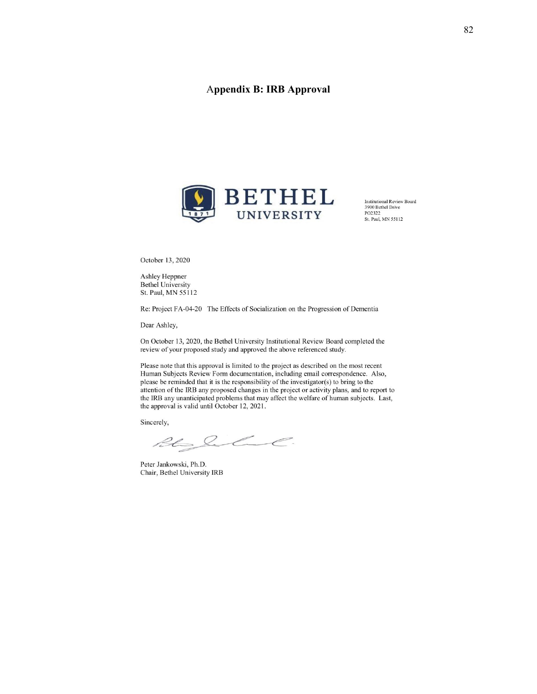# A**ppendix B: IRB Approval**



**Institutional Review Board<br>3900 Bethel Drive** PO2322 St. Paul, MN 55112

October 13, 2020

Ashley Heppner **Bethel University** St. Paul, MN 55112

Re: Project FA-04-20 The Effects of Socialization on the Progression of Dementia

Dear Ashley,

On October 13, 2020, the Bethel University Institutional Review Board completed the review of your proposed study and approved the above referenced study.

Please note that this approval is limited to the project as described on the most recent Human Subjects Review Form documentation, including email correspondence. Also, please be reminded that it is the responsibility of the investigator(s) to bring to the attention of the IRB any proposed changes in the project or activity plans, and to report to the IRB any unanticipated problems that may affect the welfare of human subjects. Last, the approval is valid until October 12, 2021.

Sincerely,

Rh Sulul.

Peter Jankowski, Ph.D. Chair, Bethel University IRB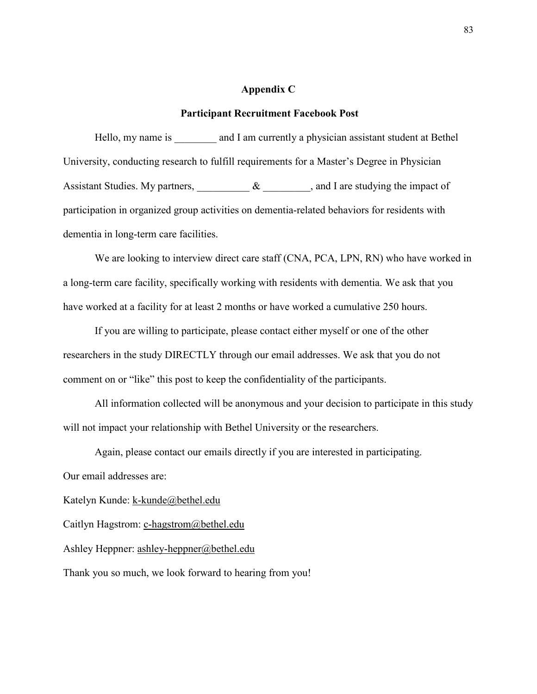## **Appendix C**

#### **Participant Recruitment Facebook Post**

Hello, my name is and I am currently a physician assistant student at Bethel University, conducting research to fulfill requirements for a Master's Degree in Physician Assistant Studies. My partners,  $\&$   $\&$ , and I are studying the impact of participation in organized group activities on dementia-related behaviors for residents with dementia in long-term care facilities.

We are looking to interview direct care staff (CNA, PCA, LPN, RN) who have worked in a long-term care facility, specifically working with residents with dementia. We ask that you have worked at a facility for at least 2 months or have worked a cumulative 250 hours.

If you are willing to participate, please contact either myself or one of the other researchers in the study DIRECTLY through our email addresses. We ask that you do not comment on or "like" this post to keep the confidentiality of the participants.

All information collected will be anonymous and your decision to participate in this study will not impact your relationship with Bethel University or the researchers.

Again, please contact our emails directly if you are interested in participating.

Our email addresses are:

Katelyn Kunde: [k-kunde@bethel.edu](mailto:k-kunde@bethel.edu)

Caitlyn Hagstrom: [c-hagstrom@bethel.edu](mailto:c-hagstrom@bethel.edu)

Ashley Heppner: [ashley-heppner@bethel.edu](mailto:ashley-heppner@bethel.edu)

Thank you so much, we look forward to hearing from you!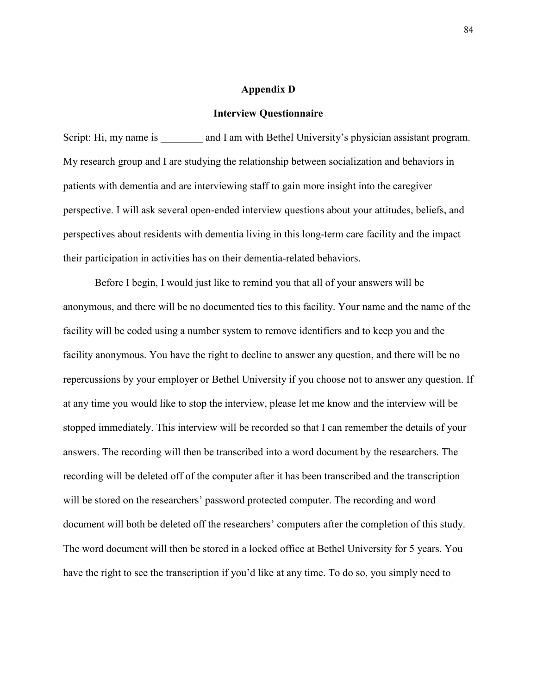#### **Appendix D**

#### **Interview Questionnaire**

Script: Hi, my name is and I am with Bethel University's physician assistant program. My research group and I are studying the relationship between socialization and behaviors in patients with dementia and are interviewing staff to gain more insight into the caregiver perspective. I will ask several open-ended interview questions about your attitudes, beliefs, and perspectives about residents with dementia living in this long-term care facility and the impact their participation in activities has on their dementia-related behaviors.

Before I begin, I would just like to remind you that all of your answers will be anonymous, and there will be no documented ties to this facility. Your name and the name of the facility will be coded using a number system to remove identifiers and to keep you and the facility anonymous. You have the right to decline to answer any question, and there will be no repercussions by your employer or Bethel University if you choose not to answer any question. If at any time you would like to stop the interview, please let me know and the interview will be stopped immediately. This interview will be recorded so that I can remember the details of your answers. The recording will then be transcribed into a word document by the researchers. The recording will be deleted off of the computer after it has been transcribed and the transcription will be stored on the researchers' password protected computer. The recording and word document will both be deleted off the researchers' computers after the completion of this study. The word document will then be stored in a locked office at Bethel University for 5 years. You have the right to see the transcription if you'd like at any time. To do so, you simply need to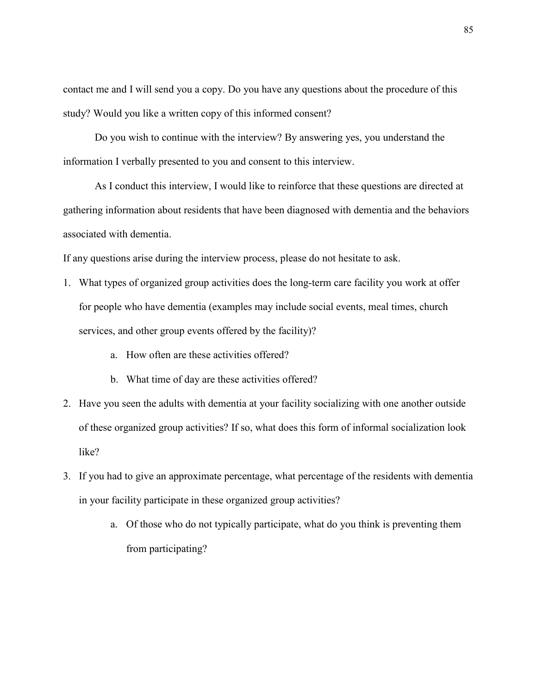contact me and I will send you a copy. Do you have any questions about the procedure of this study? Would you like a written copy of this informed consent?

Do you wish to continue with the interview? By answering yes, you understand the information I verbally presented to you and consent to this interview.

As I conduct this interview, I would like to reinforce that these questions are directed at gathering information about residents that have been diagnosed with dementia and the behaviors associated with dementia.

If any questions arise during the interview process, please do not hesitate to ask.

- 1. What types of organized group activities does the long-term care facility you work at offer for people who have dementia (examples may include social events, meal times, church services, and other group events offered by the facility)?
	- a. How often are these activities offered?
	- b. What time of day are these activities offered?
- 2. Have you seen the adults with dementia at your facility socializing with one another outside of these organized group activities? If so, what does this form of informal socialization look like?
- 3. If you had to give an approximate percentage, what percentage of the residents with dementia in your facility participate in these organized group activities?
	- a. Of those who do not typically participate, what do you think is preventing them from participating?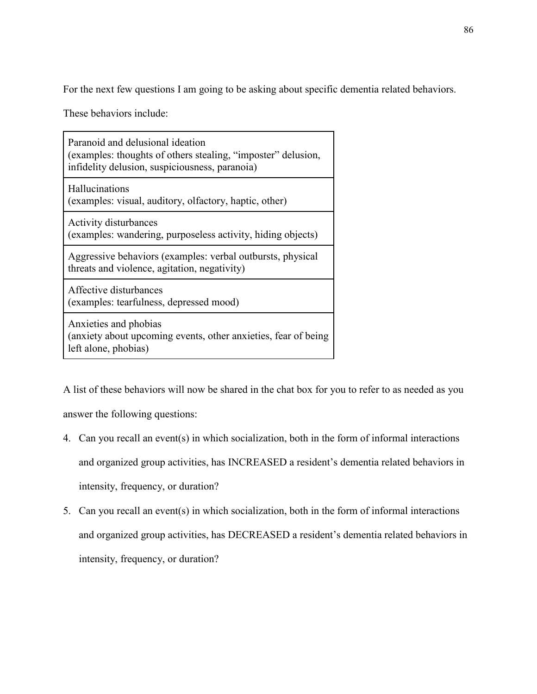For the next few questions I am going to be asking about specific dementia related behaviors.

These behaviors include:

| Paranoid and delusional ideation<br>(examples: thoughts of others stealing, "imposter" delusion,<br>infidelity delusion, suspiciousness, paranoia) |
|----------------------------------------------------------------------------------------------------------------------------------------------------|
| Hallucinations<br>(examples: visual, auditory, olfactory, haptic, other)                                                                           |
| <b>Activity disturbances</b><br>(examples: wandering, purposeless activity, hiding objects)                                                        |
| Aggressive behaviors (examples: verbal outbursts, physical<br>threats and violence, agitation, negativity)                                         |
| Affective disturbances<br>(examples: tearfulness, depressed mood)                                                                                  |
| Anxieties and phobias<br>(anxiety about upcoming events, other anxieties, fear of being<br>left alone, phobias)                                    |

A list of these behaviors will now be shared in the chat box for you to refer to as needed as you answer the following questions:

- 4. Can you recall an event(s) in which socialization, both in the form of informal interactions and organized group activities, has INCREASED a resident's dementia related behaviors in intensity, frequency, or duration?
- 5. Can you recall an event(s) in which socialization, both in the form of informal interactions and organized group activities, has DECREASED a resident's dementia related behaviors in intensity, frequency, or duration?